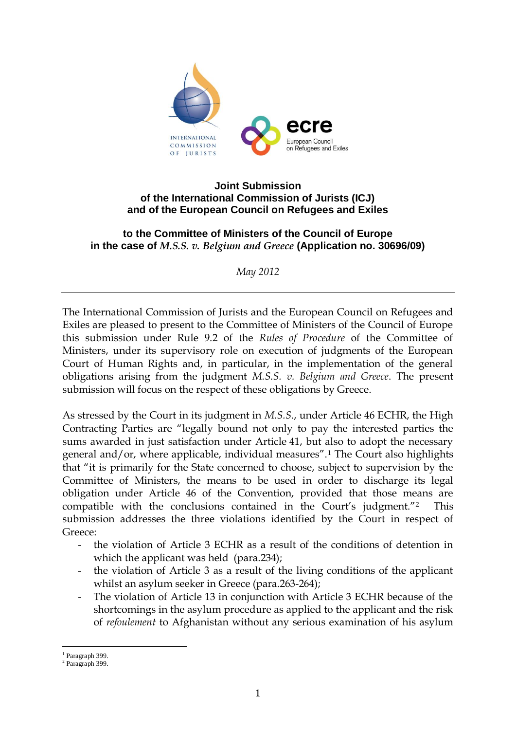

### **Joint Submission of the International Commission of Jurists (ICJ) and of the European Council on Refugees and Exiles**

## **to the Committee of Ministers of the Council of Europe in the case of** *M.S.S. v. Belgium and Greece* **(Application no. 30696/09)**

*May 2012*

The International Commission of Jurists and the European Council on Refugees and Exiles are pleased to present to the Committee of Ministers of the Council of Europe this submission under Rule 9.2 of the *Rules of Procedure* of the Committee of Ministers, under its supervisory role on execution of judgments of the European Court of Human Rights and, in particular, in the implementation of the general obligations arising from the judgment *M.S.S. v. Belgium and Greece*. The present submission will focus on the respect of these obligations by Greece.

As stressed by the Court in its judgment in *M.S.S*., under Article 46 ECHR, the High Contracting Parties are "legally bound not only to pay the interested parties the sums awarded in just satisfaction under Article 41, but also to adopt the necessary general and/or, where applicable, individual measures".<sup>1</sup> The Court also highlights that "it is primarily for the State concerned to choose, subject to supervision by the Committee of Ministers, the means to be used in order to discharge its legal obligation under Article 46 of the Convention, provided that those means are compatible with the conclusions contained in the Court's judgment."<sup>2</sup> This submission addresses the three violations identified by the Court in respect of Greece:

- the violation of Article 3 ECHR as a result of the conditions of detention in which the applicant was held (para.234);
- the violation of Article 3 as a result of the living conditions of the applicant whilst an asylum seeker in Greece (para.263-264);
- The violation of Article 13 in conjunction with Article 3 ECHR because of the shortcomings in the asylum procedure as applied to the applicant and the risk of *refoulement* to Afghanistan without any serious examination of his asylum

<sup>&</sup>lt;sup>1</sup> Paragraph 399.

<sup>&</sup>lt;sup>2</sup> Paragraph 399.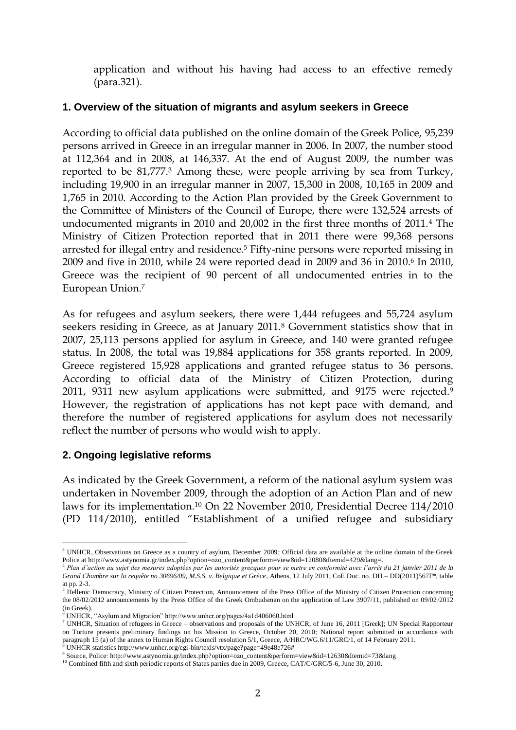application and without his having had access to an effective remedy (para.321).

## **1. Overview of the situation of migrants and asylum seekers in Greece**

According to official data published on the online domain of the Greek Police, 95,239 persons arrived in Greece in an irregular manner in 2006. In 2007, the number stood at 112,364 and in 2008, at 146,337. At the end of August 2009, the number was reported to be 81,777.<sup>3</sup> Among these, were people arriving by sea from Turkey, including 19,900 in an irregular manner in 2007, 15,300 in 2008, 10,165 in 2009 and 1,765 in 2010. According to the Action Plan provided by the Greek Government to the Committee of Ministers of the Council of Europe, there were 132,524 arrests of undocumented migrants in 2010 and 20,002 in the first three months of 2011.<sup>4</sup> The Ministry of Citizen Protection reported that in 2011 there were 99,368 persons arrested for illegal entry and residence.<sup>5</sup> Fifty-nine persons were reported missing in 2009 and five in 2010, while 24 were reported dead in 2009 and 36 in 2010.6 In 2010, Greece was the recipient of 90 percent of all undocumented entries in to the European Union.<sup>7</sup>

As for refugees and asylum seekers, there were 1,444 refugees and 55,724 asylum seekers residing in Greece, as at January 2011.<sup>8</sup> Government statistics show that in 2007, 25,113 persons applied for asylum in Greece, and 140 were granted refugee status. In 2008, the total was 19,884 applications for 358 grants reported. In 2009, Greece registered 15,928 applications and granted refugee status to 36 persons. According to official data of the Ministry of Citizen Protection, during 2011, 9311 new asylum applications were submitted, and 9175 were rejected.<sup>9</sup> However, the registration of applications has not kept pace with demand, and therefore the number of registered applications for asylum does not necessarily reflect the number of persons who would wish to apply.

# **2. Ongoing legislative reforms**

As indicated by the Greek Government, a reform of the national asylum system was undertaken in November 2009, through the adoption of an Action Plan and of new laws for its implementation.<sup>10</sup> On 22 November 2010, Presidential Decree 114/2010 (PD 114/2010), entitled "Establishment of a unified refugee and subsidiary

 $\overline{a}$ <sup>3</sup> UNHCR, Observations on Greece as a country of asylum, December 2009; Official data are available at the online domain of the Greek Police at [http://www.astynomia.gr/index.php?option=ozo\\_content&perform=view&id=12080&Itemid=429&lang=](http://www.astynomia.gr/index.php?option=ozo_content&perform=view&id=12080&Itemid=429&lang).<br><sup>4</sup> Plan d'action au sujet des mesures adoptées par les autorités grecques pour se metre en conformité avec l'arrêt du

*Grand Chambre sur la requête no 30696/09, M.S.S. v. Belgique et Grèce*, Athens, 12 July 2011, CoE Doc. no. DH – DD(2011)567F\*, table at pp. 2-3.

<sup>&</sup>lt;sup>5</sup> Hellenic Democracy, Ministry of Citizen Protection, Announcement of the Press Office of the Ministry of Citizen Protection concerning the 08/02/2012 announcements by the Press Office of the Greek Ombudsman on the application of Law 3907/11, published on 09/02/2012 (in Greek).

<sup>6</sup> UNHCR, "Asylum and Migration" http://www.unhcr.org/pages/4a1d406060.html

<sup>&</sup>lt;sup>7</sup> UNHCR, Situation of refugees in Greece – observations and proposals of the UNHCR, of June 16, 2011 [Greek]; UN Special Rapporteur on Torture presents preliminary findings on his Mission to Greece, October 20, 2010; National report submitted in accordance with paragraph 15 (a) of the annex to Human Rights Council resolution 5/1, Greece, A/HRC/WG.6/11/GRC/1, of 14 February 2011. <sup>8</sup> UNHCR statistics http://www.unhcr.org/cgi-bin/texis/vtx/page?page=49e48e726#

<sup>9</sup> Source, Police: [http://www.astynomia.gr/index.php?option=ozo\\_content&perform=view&id=12630&Itemid=73&lang](http://www.astynomia.gr/index.php?option=ozo_content&perform=view&id=12630&Itemid=73&lang)

<sup>&</sup>lt;sup>10</sup> Combined fifth and sixth periodic reports of States parties due in 2009, Greece, CAT/C/GRC/5-6, June 30, 2010.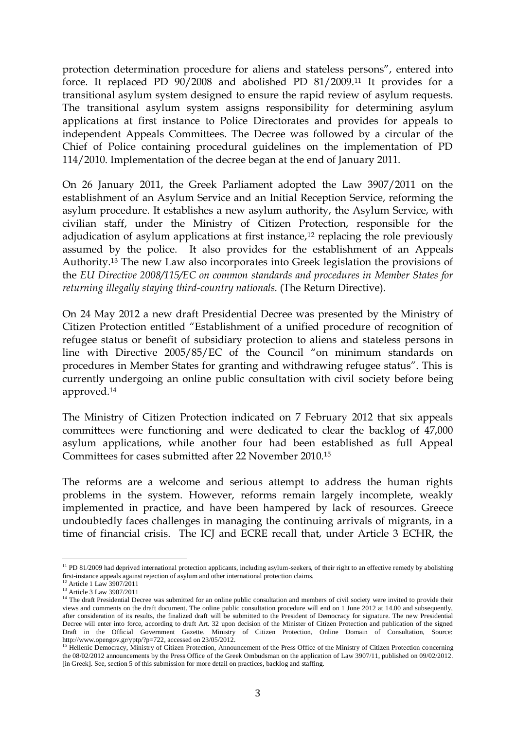protection determination procedure for aliens and stateless persons", entered into force. It replaced PD 90/2008 and abolished PD 81/2009.<sup>11</sup> It provides for a transitional asylum system designed to ensure the rapid review of asylum requests. The transitional asylum system assigns responsibility for determining asylum applications at first instance to Police Directorates and provides for appeals to independent Appeals Committees. The Decree was followed by a circular of the Chief of Police containing procedural guidelines on the implementation of PD 114/2010. Implementation of the decree began at the end of January 2011.

On 26 January 2011, the Greek Parliament adopted the Law 3907/2011 on the establishment of an Asylum Service and an Initial Reception Service, reforming the asylum procedure. It establishes a new asylum authority, the Asylum Service, with civilian staff, under the Ministry of Citizen Protection, responsible for the adjudication of asylum applications at first instance, $12$  replacing the role previously assumed by the police. It also provides for the establishment of an Appeals Authority.<sup>13</sup> The new Law also incorporates into Greek legislation the provisions of the *EU Directive 2008/115/EC on common standards and procedures in Member States for returning illegally staying third-country nationals*. (The Return Directive).

On 24 May 2012 a new draft Presidential Decree was presented by the Ministry of Citizen Protection entitled "Establishment of a unified procedure of recognition of refugee status or benefit of subsidiary protection to aliens and stateless persons in line with Directive 2005/85/EC of the Council "on minimum standards on procedures in Member States for granting and withdrawing refugee status". This is currently undergoing an online public consultation with civil society before being approved.<sup>14</sup>

The Ministry of Citizen Protection indicated on 7 February 2012 that six appeals committees were functioning and were dedicated to clear the backlog of 47,000 asylum applications, while another four had been established as full Appeal Committees for cases submitted after 22 November 2010.<sup>15</sup>

The reforms are a welcome and serious attempt to address the human rights problems in the system. However, reforms remain largely incomplete, weakly implemented in practice, and have been hampered by lack of resources. Greece undoubtedly faces challenges in managing the continuing arrivals of migrants, in a time of financial crisis. The ICJ and ECRE recall that, under Article 3 ECHR, the

 $\overline{a}$  $11$  PD 81/2009 had deprived international protection applicants, including asylum-seekers, of their right to an effective remedy by abolishing first-instance appeals against rejection of asylum and other international protection claims.

<sup>&</sup>lt;sup>12</sup> Article 1 Law 3907/2011

<sup>&</sup>lt;sup>13</sup> Article 3 Law 3907/2011

<sup>&</sup>lt;sup>14</sup> The draft Presidential Decree was submitted for an online public consultation and members of civil society were invited to provide their views and comments on the draft document. The online public consultation procedure will end on 1 June 2012 at 14.00 and subsequently, after consideration of its results, the finalized draft will be submitted to the President of Democracy for signature. The new Presidential Decree will enter into force, according to draft Art. 32 upon decision of the Minister of Citizen Protection and publication of the signed Draft in the Official Government Gazette. Ministry of Citizen Protection, Online Domain of Consultation, Source: [http://www.opengov.gr/yptp/?p=722,](http://www.opengov.gr/yptp/?p=722) accessed on 23/05/2012.<br><sup>15</sup> Hellenic Democracy, Ministry of Citizen Protection, Announcement of the Press Office of the Ministry of Citizen Protection concerning

the 08/02/2012 announcements by the Press Office of the Greek Ombudsman on the application of Law 3907/11, published on 09/02/2012. [in Greek]. See, section 5 of this submission for more detail on practices, backlog and staffing.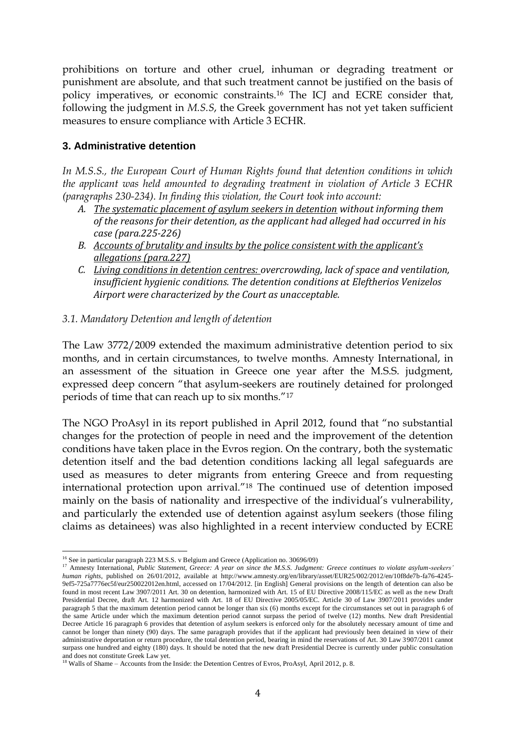prohibitions on torture and other cruel, inhuman or degrading treatment or punishment are absolute, and that such treatment cannot be justified on the basis of policy imperatives, or economic constraints.<sup>16</sup> The ICJ and ECRE consider that, following the judgment in *M.S.S*, the Greek government has not yet taken sufficient measures to ensure compliance with Article 3 ECHR.

## **3. Administrative detention**

*In M.S.S., the European Court of Human Rights found that detention conditions in which the applicant was held amounted to degrading treatment in violation of Article 3 ECHR (paragraphs 230-234). In finding this violation, the Court took into account:* 

- *A. The systematic placement of asylum seekers in detention without informing them of the reasons for their detention, as the applicant had alleged had occurred in his case (para.225-226)*
- *B. Accounts of brutality and insults by the police consistent with the applicant's allegations (para.227)*
- *C. Living conditions in detention centres: overcrowding, lack of space and ventilation, insufficient hygienic conditions. The detention conditions at Eleftherios Venizelos Airport were characterized by the Court as unacceptable.*

## *3.1. Mandatory Detention and length of detention*

The Law 3772/2009 extended the maximum administrative detention period to six months, and in certain circumstances, to twelve months. Amnesty International, in an assessment of the situation in Greece one year after the M.S.S. judgment, expressed deep concern "that asylum-seekers are routinely detained for prolonged periods of time that can reach up to six months."<sup>17</sup>

The NGO ProAsyl in its report published in April 2012, found that "no substantial changes for the protection of people in need and the improvement of the detention conditions have taken place in the Evros region. On the contrary, both the systematic detention itself and the bad detention conditions lacking all legal safeguards are used as measures to deter migrants from entering Greece and from requesting international protection upon arrival."<sup>18</sup> The continued use of detention imposed mainly on the basis of nationality and irrespective of the individual's vulnerability, and particularly the extended use of detention against asylum seekers (those filing claims as detainees) was also highlighted in a recent interview conducted by ECRE

 $\overline{a}$ <sup>16</sup> See in particular paragraph 223 M.S.S. v Belgium and Greece (Application no. 30696/09)

<sup>&</sup>lt;sup>17</sup> Amnesty International, *Public Statement, Greece: A year on since the M.S.S. Judgment: Greece continues to violate asylum-seekers' human rights*, published on 26/01/2012, available at [http://www.amnesty.org/en/library/asset/EUR25/002/2012/en/10f8de7b-fa76-4245-](http://www.amnesty.org/en/library/asset/EUR25/002/2012/en/10f8de7b-fa76-4245-9ef5-725a7776ec5f/eur250022012en.html) [9ef5-725a7776ec5f/eur250022012en.html,](http://www.amnesty.org/en/library/asset/EUR25/002/2012/en/10f8de7b-fa76-4245-9ef5-725a7776ec5f/eur250022012en.html) accessed on 17/04/2012. [in English] General provisions on the length of detention can also be found in most recent Law 3907/2011 Art. 30 on detention, harmonized with Art. 15 of EU Directive 2008/115/EC as well as the new Draft Presidential Decree, draft Art. 12 harmonized with Art. 18 of EU Directive 2005/05/EC. Article 30 of Law 3907/2011 provides under paragraph 5 that the maximum detention period cannot be longer than six (6) months except for the circumstances set out in paragraph 6 of the same Article under which the maximum detention period cannot surpass the period of twelve (12) months. New draft Presidential Decree Article 16 paragraph 6 provides that detention of asylum seekers is enforced only for the absolutely necessary amount of time and cannot be longer than ninety (90) days. The same paragraph provides that if the applicant had previously been detained in view of their administrative deportation or return procedure, the total detention period, bearing in mind the reservations of Art. 30 Law 3907/2011 cannot surpass one hundred and eighty (180) days. It should be noted that the new draft Presidential Decree is currently under public consultation

and does not constitute Greek Law yet.<br><sup>18</sup> Walls of Shame – Accounts from the Inside: the Detention Centres of Evros, ProAsyl, April 2012, p. 8.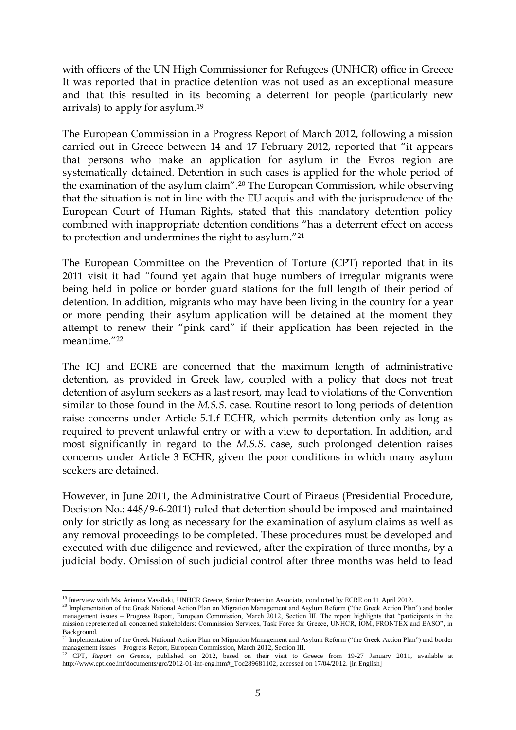with officers of the UN High Commissioner for Refugees (UNHCR) office in Greece It was reported that in practice detention was not used as an exceptional measure and that this resulted in its becoming a deterrent for people (particularly new arrivals) to apply for asylum. 19

The European Commission in a Progress Report of March 2012, following a mission carried out in Greece between 14 and 17 February 2012, reported that "it appears that persons who make an application for asylum in the Evros region are systematically detained. Detention in such cases is applied for the whole period of the examination of the asylum claim".<sup>20</sup> The European Commission, while observing that the situation is not in line with the EU acquis and with the jurisprudence of the European Court of Human Rights, stated that this mandatory detention policy combined with inappropriate detention conditions "has a deterrent effect on access to protection and undermines the right to asylum."<sup>21</sup>

The European Committee on the Prevention of Torture (CPT) reported that in its 2011 visit it had "found yet again that huge numbers of irregular migrants were being held in police or border guard stations for the full length of their period of detention. In addition, migrants who may have been living in the country for a year or more pending their asylum application will be detained at the moment they attempt to renew their "pink card" if their application has been rejected in the meantime."<sup>22</sup>

The ICJ and ECRE are concerned that the maximum length of administrative detention, as provided in Greek law, coupled with a policy that does not treat detention of asylum seekers as a last resort, may lead to violations of the Convention similar to those found in the *M.S.S.* case. Routine resort to long periods of detention raise concerns under Article 5.1.f ECHR, which permits detention only as long as required to prevent unlawful entry or with a view to deportation. In addition, and most significantly in regard to the *M.S.S*. case, such prolonged detention raises concerns under Article 3 ECHR, given the poor conditions in which many asylum seekers are detained.

However, in June 2011, the Administrative Court of Piraeus (Presidential Procedure, Decision No.: 448/9-6-2011) ruled that detention should be imposed and maintained only for strictly as long as necessary for the examination of asylum claims as well as any removal proceedings to be completed. These procedures must be developed and executed with due diligence and reviewed, after the expiration of three months, by a judicial body. Omission of such judicial control after three months was held to lead

 $\overline{a}$ <sup>19</sup> Interview with Ms. Arianna Vassilaki, UNHCR Greece, Senior Protection Associate, conducted by ECRE on 11 April 2012.

<sup>&</sup>lt;sup>20</sup> Implementation of the Greek National Action Plan on Migration Management and Asylum Reform ("the Greek Action Plan") and border management issues – Progress Report, European Commission, March 2012, Section III. The report highlights that "participants in the mission represented all concerned stakeholders: Commission Services, Task Force for Greece, UNHCR, IOM, FRONTEX and EASO", in Background.

<sup>&</sup>lt;sup>21</sup> Implementation of the Greek National Action Plan on Migration Management and Asylum Reform ("the Greek Action Plan") and border management issues – Progress Report, European Commission, March 2012, Section III.

<sup>22</sup> CPT, *Report on Greece*, published on 2012, based on their visit to Greece from 19-27 January 2011, available at [http://www.cpt.coe.int/documents/grc/2012-01-inf-eng.htm#\\_Toc289681102,](http://www.cpt.coe.int/documents/grc/2012-01-inf-eng.htm#_Toc289681102) accessed on 17/04/2012. [in English]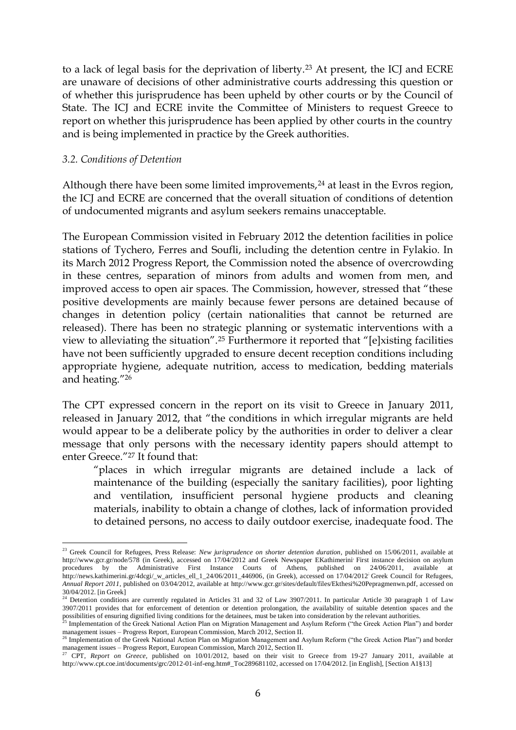to a lack of legal basis for the deprivation of liberty.<sup>23</sup> At present, the ICJ and ECRE are unaware of decisions of other administrative courts addressing this question or of whether this jurisprudence has been upheld by other courts or by the Council of State. The ICJ and ECRE invite the Committee of Ministers to request Greece to report on whether this jurisprudence has been applied by other courts in the country and is being implemented in practice by the Greek authorities.

#### *3.2. Conditions of Detention*

 $\overline{a}$ 

Although there have been some limited improvements,<sup>24</sup> at least in the Evros region, the ICJ and ECRE are concerned that the overall situation of conditions of detention of undocumented migrants and asylum seekers remains unacceptable.

The European Commission visited in February 2012 the detention facilities in police stations of Tychero, Ferres and Soufli, including the detention centre in Fylakio. In its March 2012 Progress Report, the Commission noted the absence of overcrowding in these centres, separation of minors from adults and women from men, and improved access to open air spaces. The Commission, however, stressed that "these positive developments are mainly because fewer persons are detained because of changes in detention policy (certain nationalities that cannot be returned are released). There has been no strategic planning or systematic interventions with a view to alleviating the situation".<sup>25</sup> Furthermore it reported that "[e]xisting facilities have not been sufficiently upgraded to ensure decent reception conditions including appropriate hygiene, adequate nutrition, access to medication, bedding materials and heating."<sup>26</sup>

The CPT expressed concern in the report on its visit to Greece in January 2011, released in January 2012, that "the conditions in which irregular migrants are held would appear to be a deliberate policy by the authorities in order to deliver a clear message that only persons with the necessary identity papers should attempt to enter Greece."<sup>27</sup> It found that:

"places in which irregular migrants are detained include a lack of maintenance of the building (especially the sanitary facilities), poor lighting and ventilation, insufficient personal hygiene products and cleaning materials, inability to obtain a change of clothes, lack of information provided to detained persons, no access to daily outdoor exercise, inadequate food. The

<sup>23</sup> Greek Council for Refugees, Press Release: *New jurisprudence on shorter detention duration*, published on 15/06/2011, available at <http://www.gcr.gr/node/578> (in Greek), accessed on 17/04/2012 and Greek Newspaper EKathimerini First instance decision on asylum procedures by the Administrative First Instance Courts of Athens, published on 24/06/2011, available at [http://news.kathimerini.gr/4dcgi/\\_w\\_articles\\_ell\\_1\\_24/06/2011\\_446906,](http://news.kathimerini.gr/4dcgi/_w_articles_ell_1_24/06/2011_446906) (in Greek), accessed on 17/04/2012<sup>;</sup> Greek Council for Refugees, *Annual Report 2011*, published on 03/04/2012, available at [http://www.gcr.gr/sites/default/files/Ekthesi%20Pepragmenwn.pdf,](http://www.gcr.gr/sites/default/files/Ekthesi%20Pepragmenwn.pdf) accessed on 30/04/2012. [in Greek]

<sup>&</sup>lt;sup>24</sup> Detention conditions are currently regulated in Articles 31 and 32 of Law 3907/2011. In particular Article 30 paragraph 1 of Law 3907/2011 provides that for enforcement of detention or detention prolongation, the availability of suitable detention spaces and the possibilities of ensuring dignified living conditions for the detainees, must be taken into consideration by the relevant authorities.

<sup>&</sup>lt;sup>5</sup> Implementation of the Greek National Action Plan on Migration Management and Asylum Reform ("the Greek Action Plan") and border management issues – Progress Report, European Commission, March 2012, Section II.<br><sup>26</sup> Implementation of the Greek National Action Plan on Migration Management and Asylum Reform ("the Greek Action Plan") and border

management issues – Progress Report, European Commission, March 2012, Section II.

<sup>27</sup> CPT, *Report on Greece*, published on 10/01/2012, based on their visit to Greece from 19-27 January 2011, available at [http://www.cpt.coe.int/documents/grc/2012-01-inf-eng.htm#\\_Toc289681102,](http://www.cpt.coe.int/documents/grc/2012-01-inf-eng.htm#_Toc289681102) accessed on 17/04/2012. [in English], [Section A1§13]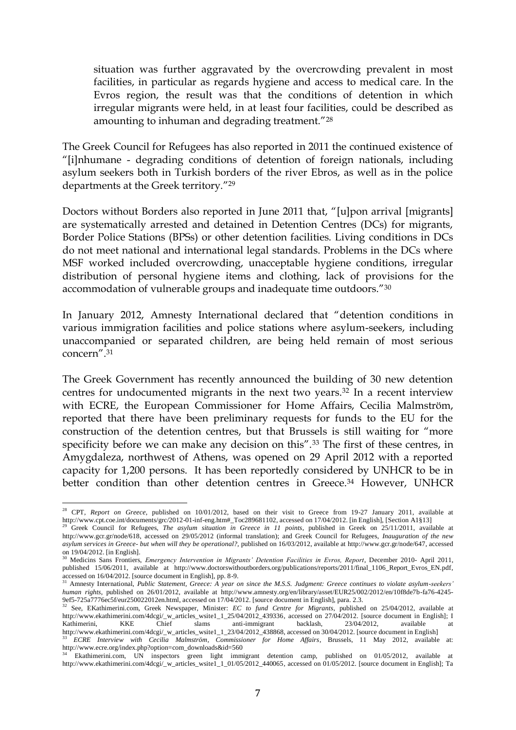situation was further aggravated by the overcrowding prevalent in most facilities, in particular as regards hygiene and access to medical care. In the Evros region, the result was that the conditions of detention in which irregular migrants were held, in at least four facilities, could be described as amounting to inhuman and degrading treatment."<sup>28</sup>

The Greek Council for Refugees has also reported in 2011 the continued existence of "[i]nhumane - degrading conditions of detention of foreign nationals, including asylum seekers both in Turkish borders of the river Ebros, as well as in the police departments at the Greek territory."<sup>29</sup>

Doctors without Borders also reported in June 2011 that, "[u]pon arrival [migrants] are systematically arrested and detained in Detention Centres (DCs) for migrants, Border Police Stations (BPSs) or other detention facilities. Living conditions in DCs do not meet national and international legal standards. Problems in the DCs where MSF worked included overcrowding, unacceptable hygiene conditions, irregular distribution of personal hygiene items and clothing, lack of provisions for the accommodation of vulnerable groups and inadequate time outdoors."<sup>30</sup>

In January 2012, Amnesty International declared that "detention conditions in various immigration facilities and police stations where asylum-seekers, including unaccompanied or separated children, are being held remain of most serious concern".<sup>31</sup>

The Greek Government has recently announced the building of 30 new detention centres for undocumented migrants in the next two years.<sup>32</sup> In a recent interview with ECRE, the European Commissioner for Home Affairs, Cecilia Malmström, reported that there have been preliminary requests for funds to the EU for the construction of the detention centres, but that Brussels is still waiting for "more specificity before we can make any decision on this".<sup>33</sup> The first of these centres, in Amygdaleza, northwest of Athens, was opened on 29 April 2012 with a reported capacity for 1,200 persons. It has been reportedly considered by UNHCR to be in better condition than other detention centres in Greece.<sup>34</sup> However, UNHCR

<sup>&</sup>lt;sup>28</sup> CPT, *Report on Greece*, published on 10/01/2012, based on their visit to Greece from 19-27 January 2011, available at [http://www.cpt.coe.int/documents/grc/2012-01-inf-eng.htm#\\_Toc289681102,](http://www.cpt.coe.int/documents/grc/2012-01-inf-eng.htm#_Toc289681102) accessed on 17/04/2012. [in English], [Section A1§13]<br><sup>29</sup> Greek Council for Refugees, *The asylum situation in Greece in 11 points*, published in Gre

[http://www.gcr.gr/node/618,](http://www.gcr.gr/node/618) accessed on 29/05/2012 (informal translation); and Greek Council for Refugees, *Inauguration of the new asylum services in Greece- but when will they be operational?,* published on 16/03/2012, available at [http://www.gcr.gr/node/647,](http://www.gcr.gr/node/647) accessed on 19/04/2012. [in English].

<sup>30</sup> Medicins Sans Frontiers, *Emergency Intervention in Migrants' Detention Facilities in Evros, Report*, December 2010- April 2011, published 15/06/2011, available at [http://www.doctorswithoutborders.org/publications/reports/2011/final\\_1106\\_Report\\_Evros\\_EN.pdf,](http://www.doctorswithoutborders.org/publications/reports/2011/final_1106_Report_Evros_EN.pdf) accessed on 16/04/2012. [source document in English], pp. 8-9.

<sup>31</sup> Amnesty International, *Public Statement, Greece: A year on since the M.S.S. Judgment: Greece continues to violate asylum-seekers' human rights*, published on 26/01/2012, available at [http://www.amnesty.org/en/library/asset/EUR25/002/2012/en/10f8de7b-fa76-4245-](http://www.amnesty.org/en/library/asset/EUR25/002/2012/en/10f8de7b-fa76-4245-9ef5-725a7776ec5f/eur250022012en.html) [9ef5-725a7776ec5f/eur250022012en.html,](http://www.amnesty.org/en/library/asset/EUR25/002/2012/en/10f8de7b-fa76-4245-9ef5-725a7776ec5f/eur250022012en.html) accessed on 17/04/2012. [source document in English], para. 2.3.

<sup>32</sup> See, EKathimerini.com, Greek Newspaper, Minister: *EC to fund Centre for Migrants*, published on 25/04/2012, available at [http://www.ekathimerini.com/4dcgi/\\_w\\_articles\\_wsite1\\_1\\_25/04/2012\\_439336,](http://www.ekathimerini.com/4dcgi/_w_articles_wsite1_1_25/04/2012_439336) accessed on 27/04/2012. [source document in English]; I<br>Kathimerini KKE Chief slams anti-immigrant backlash 23/04/2012 available at Kathimerini, KKE Chief slams anti-immigrant backlash, 23/04/2012, available at [http://www.ekathimerini.com/4dcgi/\\_w\\_articles\\_wsite1\\_1\\_23/04/2012\\_438868,](http://www.ekathimerini.com/4dcgi/_w_articles_wsite1_1_23/04/2012_438868) accessed on 30/04/2012. [source document in English] <sup>33</sup> *ECRE Interview with Cecilia Malmström, Commissioner for Home Affairs*, Brussels, 11 May 2012, available at:

[http://www.ecre.org/index.php?option=com\\_downloads&id=560](http://www.ecre.org/index.php?option=com_downloads&id=560)

<sup>&</sup>lt;sup>34</sup> Ekathimerini.com, UN inspectors green light immigrant detention camp, published on 01/05/2012, available at [http://www.ekathimerini.com/4dcgi/\\_w\\_articles\\_wsite1\\_1\\_01/05/2012\\_440065,](http://www.ekathimerini.com/4dcgi/_w_articles_wsite1_1_01/05/2012_440065) accessed on 01/05/2012. [source document in English]; Ta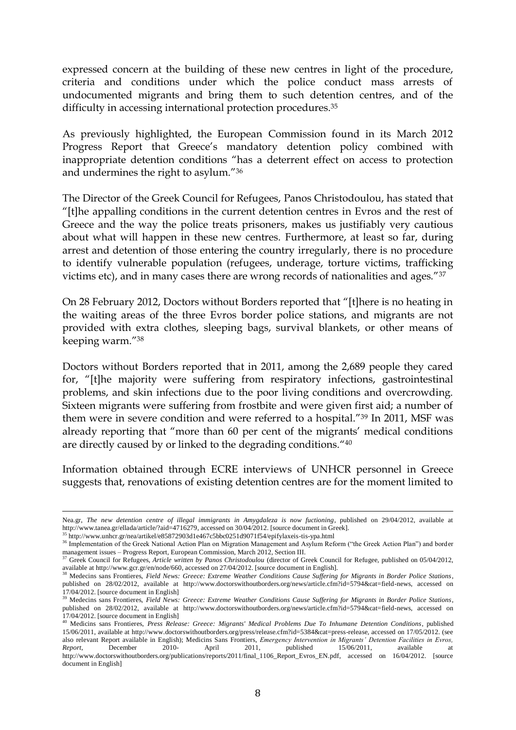expressed concern at the building of these new centres in light of the procedure, criteria and conditions under which the police conduct mass arrests of undocumented migrants and bring them to such detention centres, and of the difficulty in accessing international protection procedures.<sup>35</sup>

As previously highlighted, the European Commission found in its March 2012 Progress Report that Greece's mandatory detention policy combined with inappropriate detention conditions "has a deterrent effect on access to protection and undermines the right to asylum."<sup>36</sup>

The Director of the Greek Council for Refugees, Panos Christodoulou, has stated that "[t]he appalling conditions in the current detention centres in Evros and the rest of Greece and the way the police treats prisoners, makes us justifiably very cautious about what will happen in these new centres. Furthermore, at least so far, during arrest and detention of those entering the country irregularly, there is no procedure to identify vulnerable population (refugees, underage, torture victims, trafficking victims etc), and in many cases there are wrong records of nationalities and ages."<sup>37</sup>

On 28 February 2012, Doctors without Borders reported that "[t]here is no heating in the waiting areas of the three Evros border police stations, and migrants are not provided with extra clothes, sleeping bags, survival blankets, or other means of keeping warm."<sup>38</sup>

Doctors without Borders reported that in 2011, among the 2,689 people they cared for, "[t]he majority were suffering from respiratory infections, gastrointestinal problems, and skin infections due to the poor living conditions and overcrowding. Sixteen migrants were suffering from frostbite and were given first aid; a number of them were in severe condition and were referred to a hospital."<sup>39</sup> In 2011, MSF was already reporting that "more than 60 per cent of the migrants' medical conditions are directly caused by or linked to the degrading conditions." 40

Information obtained through ECRE interviews of UNHCR personnel in Greece suggests that, renovations of existing detention centres are for the moment limited to

Nea.gr, *The new detention centre of illegal immigrants in Amygdaleza is now fuctioning*, published on 29/04/2012, available at [http://www.tanea.gr/ellada/article/?aid=4716279,](http://www.tanea.gr/ellada/article/?aid=4716279) accessed on 30/04/2012. [source document in Greek].

<sup>35</sup> <http://www.unhcr.gr/nea/artikel/e85872903d1e467c5bbc0251d9071f54/epifylaxeis-tis-ypa.html>

<sup>&</sup>lt;sup>36</sup> Implementation of the Greek National Action Plan on Migration Management and Asylum Reform ("the Greek Action Plan") and border management and A<br>management issues – Progress Report, European Commission, March 2012, Section III.<br><sup>37</sup> Greek Council for Pefrector 4. it is

<sup>37</sup> Greek Council for Refugees, *Article written by Panos Christodoulou* (director of Greek Council for Refugee, published on 05/04/2012, available a[t http://www.gcr.gr/en/node/660,](http://www.gcr.gr/en/node/660) accessed on 27/04/2012. [source document in English].

<sup>38</sup> Medecins sans Frontieres, *Field News: Greece: Extreme Weather Conditions Cause Suffering for Migrants in Border Police Stations*, published on 28/02/2012, available at [http://www.doctorswithoutborders.org/news/article.cfm?id=5794&cat=field-news,](http://www.doctorswithoutborders.org/news/article.cfm?id=5794&cat=field-news) accessed on 17/04/2012. [source document in English]

<sup>39</sup> Medecins sans Frontieres, *Field News: Greece: Extreme Weather Conditions Cause Suffering for Migrants in Border Police Stations*, published on 28/02/2012, available at [http://www.doctorswithoutborders.org/news/article.cfm?id=5794&cat=field-news,](http://www.doctorswithoutborders.org/news/article.cfm?id=5794&cat=field-news) accessed on 17/04/2012. [source document in English]

<sup>40</sup> Medicins sans Frontieres, *Press Release: Greece: Migrants' Medical Problems Due To Inhumane Detention Conditions*, published 15/06/2011, available at [http://www.doctorswithoutborders.org/press/release.cfm?id=5384&cat=press-release,](http://www.doctorswithoutborders.org/press/release.cfm?id=5384&cat=press-release) accessed on 17/05/2012. (see also relevant Report available in English); Medicins Sans Frontiers, *Emergency Intervention in Migrants' Detention Facilities in Evros, Report*, December 2010- April 2011, published 15/06/2011, available at *Report*, December 2010- April 2011, published 15/06/2011, available at [http://www.doctorswithoutborders.org/publications/reports/2011/final\\_1106\\_Report\\_Evros\\_EN.pdf,](http://www.doctorswithoutborders.org/publications/reports/2011/final_1106_Report_Evros_EN.pdf) accessed on 16/04/2012. [source document in English]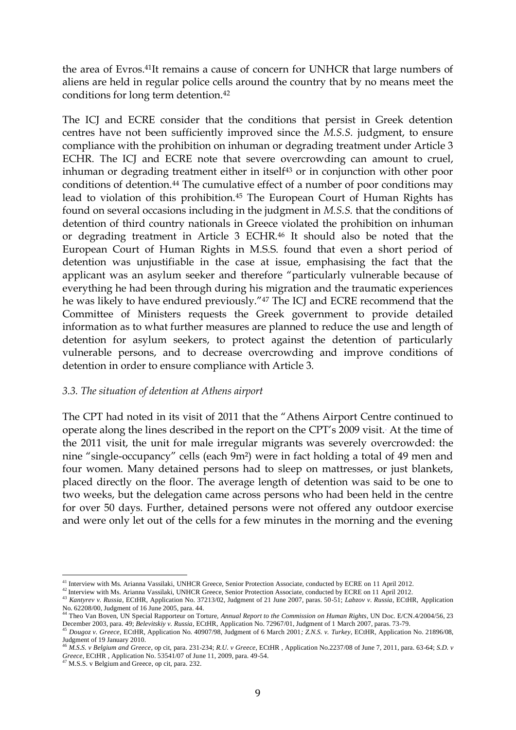the area of Evros.41It remains a cause of concern for UNHCR that large numbers of aliens are held in regular police cells around the country that by no means meet the conditions for long term detention.<sup>42</sup>

The ICJ and ECRE consider that the conditions that persist in Greek detention centres have not been sufficiently improved since the *M.S.S.* judgment, to ensure compliance with the prohibition on inhuman or degrading treatment under Article 3 ECHR. The ICJ and ECRE note that severe overcrowding can amount to cruel, inhuman or degrading treatment either in itself<sup>43</sup> or in conjunction with other poor conditions of detention.<sup>44</sup> The cumulative effect of a number of poor conditions may lead to violation of this prohibition.<sup>45</sup> The European Court of Human Rights has found on several occasions including in the judgment in *M.S.S.* that the conditions of detention of third country nationals in Greece violated the prohibition on inhuman or degrading treatment in Article 3 ECHR.<sup>46</sup> It should also be noted that the European Court of Human Rights in M.S.S. found that even a short period of detention was unjustifiable in the case at issue, emphasising the fact that the applicant was an asylum seeker and therefore "particularly vulnerable because of everything he had been through during his migration and the traumatic experiences he was likely to have endured previously."<sup>47</sup> The ICJ and ECRE recommend that the Committee of Ministers requests the Greek government to provide detailed information as to what further measures are planned to reduce the use and length of detention for asylum seekers, to protect against the detention of particularly vulnerable persons, and to decrease overcrowding and improve conditions of detention in order to ensure compliance with Article 3.

#### *3.3. The situation of detention at Athens airport*

The CPT had noted in its visit of 2011 that the "Athens Airport Centre continued to operate along the lines described in the report on the CPT's 2009 visit.. At the time of the 2011 visit, the unit for male irregular migrants was severely overcrowded: the nine "single-occupancy" cells (each 9m²) were in fact holding a total of 49 men and four women. Many detained persons had to sleep on mattresses, or just blankets, placed directly on the floor. The average length of detention was said to be one to two weeks, but the delegation came across persons who had been held in the centre for over 50 days. Further, detained persons were not offered any outdoor exercise and were only let out of the cells for a few minutes in the morning and the evening

<sup>&</sup>lt;sup>41</sup> Interview with Ms. Arianna Vassilaki, UNHCR Greece, Senior Protection Associate, conducted by ECRE on 11 April 2012.

<sup>&</sup>lt;sup>42</sup> Interview with Ms. Arianna Vassilaki, UNHCR Greece, Senior Protection Associate, conducted by ECRE on 11 April 2012.

<sup>43</sup> *Kantyrev v. Russia*, ECtHR, Application No. 37213/02, Judgment of 21 June 2007, paras. 50-51; *Labzov v. Russia*, ECtHR, Application No. 62208/00, Judgment of 16 June 2005, para. 44. <sup>44</sup> Theo Van Boven, UN Special Rapporteur on Torture, *Annual Report to the Commission on Human Rights*, UN Doc. E/CN.4/2004/56, 23

December 2003, para. 49; *Belevitskiy v. Russia*, ECtHR, Application No. 72967/01, Judgment of 1 March 2007, paras. 73-79.

<sup>45</sup> *Dougoz v. Greece,* ECtHR, Application No. 40907/98, Judgment of 6 March 2001*; Z.N.S. v. Turkey*, ECtHR, Application No. 21896/08, Judgment of 19 January 2010. <sup>46</sup> *M.S.S. v Belgium and Greece*, op cit, para. 231-234; *R.U. v Greece*, ECtHR , Application No.2237/08 of June 7, 2011, para. 63-64; *S.D. v* 

*Greece*, ECtHR, Application No. 53541/07 of June 11, 2009, para. 49-54. <sup>47</sup> M.S.S. v Belgium and Greece, op cit, para. 232.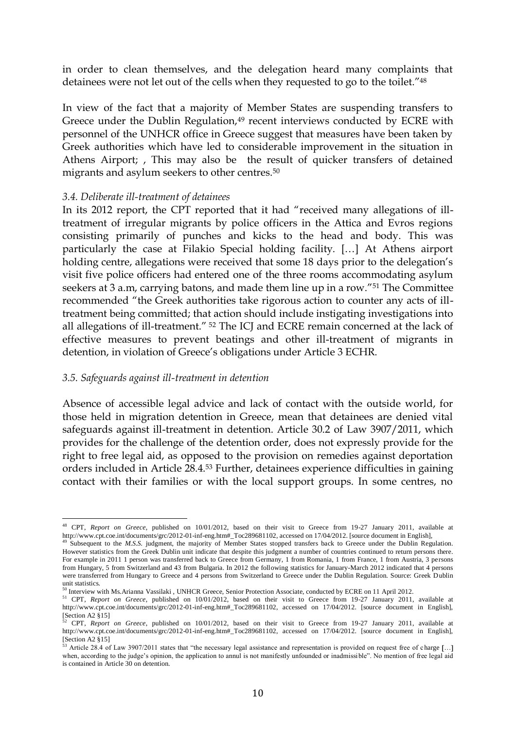in order to clean themselves, and the delegation heard many complaints that detainees were not let out of the cells when they requested to go to the toilet."<sup>48</sup>

In view of the fact that a majority of Member States are suspending transfers to Greece under the Dublin Regulation,<sup>49</sup> recent interviews conducted by ECRE with personnel of the UNHCR office in Greece suggest that measures have been taken by Greek authorities which have led to considerable improvement in the situation in Athens Airport; , This may also be the result of quicker transfers of detained migrants and asylum seekers to other centres.<sup>50</sup>

#### *3.4. Deliberate ill-treatment of detainees*

In its 2012 report, the CPT reported that it had "received many allegations of illtreatment of irregular migrants by police officers in the Attica and Evros regions consisting primarily of punches and kicks to the head and body. This was particularly the case at Filakio Special holding facility. […] At Athens airport holding centre, allegations were received that some 18 days prior to the delegation's visit five police officers had entered one of the three rooms accommodating asylum seekers at 3 a.m, carrying batons, and made them line up in a row."<sup>51</sup> The Committee recommended "the Greek authorities take rigorous action to counter any acts of illtreatment being committed; that action should include instigating investigations into all allegations of ill-treatment." <sup>52</sup> The ICJ and ECRE remain concerned at the lack of effective measures to prevent beatings and other ill-treatment of migrants in detention, in violation of Greece's obligations under Article 3 ECHR.

#### *3.5. Safeguards against ill-treatment in detention*

Absence of accessible legal advice and lack of contact with the outside world, for those held in migration detention in Greece, mean that detainees are denied vital safeguards against ill-treatment in detention. Article 30.2 of Law 3907/2011, which provides for the challenge of the detention order, does not expressly provide for the right to free legal aid, as opposed to the provision on remedies against deportation orders included in Article 28.4.<sup>53</sup> Further, detainees experience difficulties in gaining contact with their families or with the local support groups. In some centres, no

 $\overline{a}$ <sup>48</sup> CPT, *Report on Greece*, published on 10/01/2012, based on their visit to Greece from 19-27 January 2011, available at [http://www.cpt.coe.int/documents/grc/2012-01-inf-eng.htm#\\_Toc289681102,](http://www.cpt.coe.int/documents/grc/2012-01-inf-eng.htm#_Toc289681102) accessed on 17/04/2012. [source document in English],

<sup>&</sup>lt;sup>49</sup> Subsequent to the *M.S.S.* judgment, the majority of Member States stopped transfers back to Greece under the Dublin Regulation. However statistics from the Greek Dublin unit indicate that despite this judgment a number of countries continued to return persons there. For example in 2011 1 person was transferred back to Greece from Germany, 1 from Romania, 1 from France, 1 from Austria, 3 persons from Hungary, 5 from Switzerland and 43 from Bulgaria. In 2012 the following statistics for January-March 2012 indicated that 4 persons were transferred from Hungary to Greece and 4 persons from Switzerland to Greece under the Dublin Regulation. Source: Greek Dublin unit statistics.

<sup>&</sup>lt;sup>50</sup> Interview with Ms. Arianna Vassilaki, UNHCR Greece, Senior Protection Associate, conducted by ECRE on 11 April 2012.

<sup>51</sup> CPT*, Report on Greece*, published on 10/01/2012, based on their visit to Greece from 19-27 January 2011, available at [http://www.cpt.coe.int/documents/grc/2012-01-inf-eng.htm#\\_Toc289681102,](http://www.cpt.coe.int/documents/grc/2012-01-inf-eng.htm#_Toc289681102) accessed on 17/04/2012. [source document in English],  $[Section A2 \$  15]<br> $\frac{52}{2}$ 

<sup>52</sup> CPT*, Report on Greece*, published on 10/01/2012, based on their visit to Greece from 19-27 January 2011, available at [http://www.cpt.coe.int/documents/grc/2012-01-inf-eng.htm#\\_Toc289681102,](http://www.cpt.coe.int/documents/grc/2012-01-inf-eng.htm#_Toc289681102) accessed on 17/04/2012. [source document in English], [Section A2 §15]

<sup>&</sup>lt;sup>53</sup> Article 28.4 of Law 3907/2011 states that "the necessary legal assistance and representation is provided on request free of charge  $[...]$ when, according to the judge's opinion, the application to annul is not manifestly unfounded or inadmissible". No mention of free legal aid is contained in Article 30 on detention.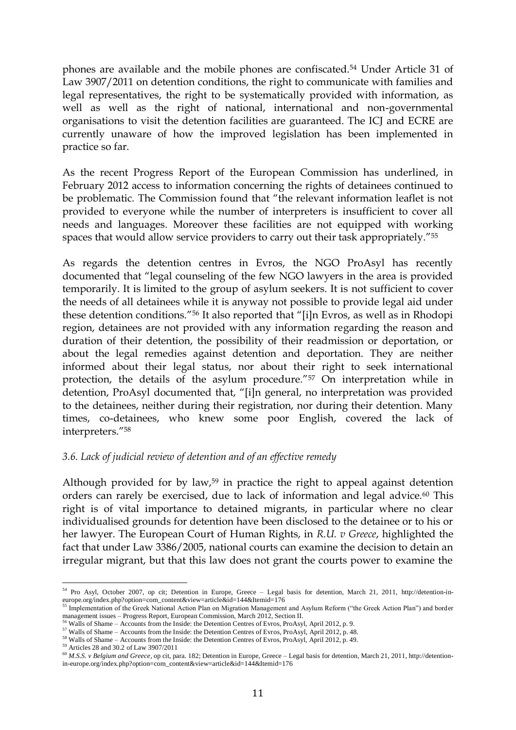phones are available and the mobile phones are confiscated.<sup>54</sup> Under Article 31 of Law 3907/2011 on detention conditions, the right to communicate with families and legal representatives, the right to be systematically provided with information, as well as well as the right of national, international and non-governmental organisations to visit the detention facilities are guaranteed. The ICJ and ECRE are currently unaware of how the improved legislation has been implemented in practice so far.

As the recent Progress Report of the European Commission has underlined, in February 2012 access to information concerning the rights of detainees continued to be problematic. The Commission found that "the relevant information leaflet is not provided to everyone while the number of interpreters is insufficient to cover all needs and languages. Moreover these facilities are not equipped with working spaces that would allow service providers to carry out their task appropriately."<sup>55</sup>

As regards the detention centres in Evros, the NGO ProAsyl has recently documented that "legal counseling of the few NGO lawyers in the area is provided temporarily. It is limited to the group of asylum seekers. It is not sufficient to cover the needs of all detainees while it is anyway not possible to provide legal aid under these detention conditions."<sup>56</sup> It also reported that "[i]n Evros, as well as in Rhodopi region, detainees are not provided with any information regarding the reason and duration of their detention, the possibility of their readmission or deportation, or about the legal remedies against detention and deportation. They are neither informed about their legal status, nor about their right to seek international protection, the details of the asylum procedure."<sup>57</sup> On interpretation while in detention, ProAsyl documented that, "[i]n general, no interpretation was provided to the detainees, neither during their registration, nor during their detention. Many times, co-detainees, who knew some poor English, covered the lack of interpreters."<sup>58</sup>

### *3.6. Lack of judicial review of detention and of an effective remedy*

Although provided for by law,<sup>59</sup> in practice the right to appeal against detention orders can rarely be exercised, due to lack of information and legal advice.<sup>60</sup> This right is of vital importance to detained migrants, in particular where no clear individualised grounds for detention have been disclosed to the detainee or to his or her lawyer. The European Court of Human Rights, in *R.U. v Greece*, highlighted the fact that under Law 3386/2005, national courts can examine the decision to detain an irregular migrant, but that this law does not grant the courts power to examine the

 $\overline{a}$ <sup>54</sup> Pro Asyl, October 2007, op cit; Detention in Europe, Greece – Legal basis for detention, March 21, 2011, [http://detention-in](http://detention-in-europe.org/index.php?option=com_content&view=article&id=144&Itemid=176)[europe.org/index.php?option=com\\_content&view=article&id=144&Itemid=176](http://detention-in-europe.org/index.php?option=com_content&view=article&id=144&Itemid=176)

<sup>&</sup>lt;sup>55</sup> Implementation of the Greek National Action Plan on Migration Management and Asylum Reform ("the Greek Action Plan") and border management issues – Progress Report, European Commission, March 2012, Section II.<br><sup>56</sup> Walls of Shame – Accounts from the Inside: the Detention Centres of Evros, ProAsyl, April 2012, p. 9.

<sup>&</sup>lt;sup>57</sup> Walls of Shame – Accounts from the Inside: the Detention Centres of Evros, ProAsyl, April 2012, p. 48.

<sup>&</sup>lt;sup>58</sup> Walls of Shame – Accounts from the Inside: the Detention Centres of Evros, ProAsyl, April 2012, p. 49.

<sup>59</sup> Articles 28 and 30.2 of Law 3907/2011

<sup>60</sup> *M.S.S. v Belgium and Greece*, op cit, para. 182; Detention in Europe, Greece – Legal basis for detention, March 21, 2011[, http://detention](http://detention-in-europe.org/index.php?option=com_content&view=article&id=144&Itemid=176)[in-europe.org/index.php?option=com\\_content&view=article&id=144&Itemid=176](http://detention-in-europe.org/index.php?option=com_content&view=article&id=144&Itemid=176)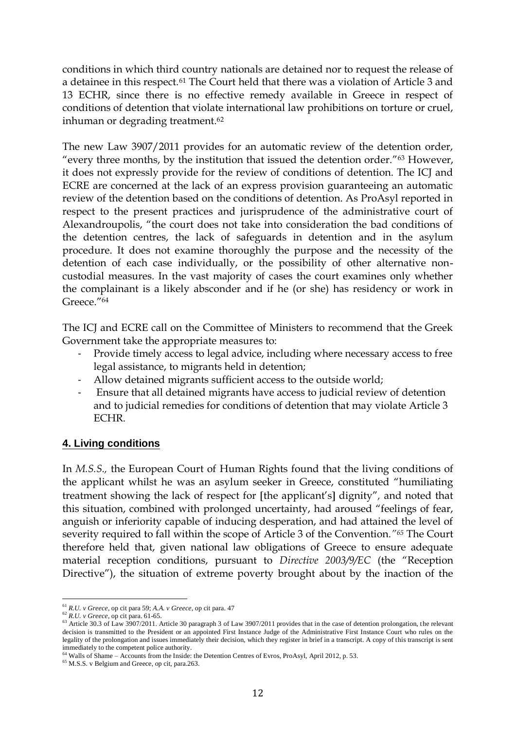conditions in which third country nationals are detained nor to request the release of a detainee in this respect.<sup>61</sup> The Court held that there was a violation of Article 3 and 13 ECHR, since there is no effective remedy available in Greece in respect of conditions of detention that violate international law prohibitions on torture or cruel, inhuman or degrading treatment.<sup>62</sup>

The new Law 3907/2011 provides for an automatic review of the detention order, "every three months, by the institution that issued the detention order."<sup>63</sup> However, it does not expressly provide for the review of conditions of detention. The ICJ and ECRE are concerned at the lack of an express provision guaranteeing an automatic review of the detention based on the conditions of detention. As ProAsyl reported in respect to the present practices and jurisprudence of the administrative court of Alexandroupolis, "the court does not take into consideration the bad conditions of the detention centres, the lack of safeguards in detention and in the asylum procedure. It does not examine thoroughly the purpose and the necessity of the detention of each case individually, or the possibility of other alternative noncustodial measures. In the vast majority of cases the court examines only whether the complainant is a likely absconder and if he (or she) has residency or work in Greece<sup>"64</sup>

The ICJ and ECRE call on the Committee of Ministers to recommend that the Greek Government take the appropriate measures to:

- Provide timely access to legal advice, including where necessary access to free legal assistance, to migrants held in detention;
- Allow detained migrants sufficient access to the outside world;
- Ensure that all detained migrants have access to judicial review of detention and to judicial remedies for conditions of detention that may violate Article 3 ECHR.

# **4. Living conditions**

In *M.S.S.,* the European Court of Human Rights found that the living conditions of the applicant whilst he was an asylum seeker in Greece, constituted "humiliating treatment showing the lack of respect for [the applicant's] dignity", and noted that this situation, combined with prolonged uncertainty, had aroused "feelings of fear, anguish or inferiority capable of inducing desperation, and had attained the level of severity required to fall within the scope of Article 3 of the Convention*."<sup>65</sup>* The Court therefore held that, given national law obligations of Greece to ensure adequate material reception conditions, pursuant to *Directive 2003/9/EC* (the "Reception Directive"), the situation of extreme poverty brought about by the inaction of the

 $\overline{a}$ <sup>61</sup> *R.U. v Greece*, op cit para 59; *A.A. v Greece*, op cit para. 47

<sup>62</sup> *R.U. v Greece*, op cit para. 61-65.

<sup>&</sup>lt;sup>63</sup> Article 30.3 of Law 3907/2011. Article 30 paragraph 3 of Law 3907/2011 provides that in the case of detention prolongation, the relevant decision is transmitted to the President or an appointed First Instance Judge of the Administrative First Instance Court who rules on the legality of the prolongation and issues immediately their decision, which they register in brief in a transcript. A copy of this transcript is sent immediately to the competent police authority.

<sup>&</sup>lt;sup>64</sup> Walls of Shame – Accounts from the Inside: the Detention Centres of Evros, ProAsyl, April 2012, p. 53.

<sup>&</sup>lt;sup>65</sup> M.S.S. v Belgium and Greece, op cit, para.263.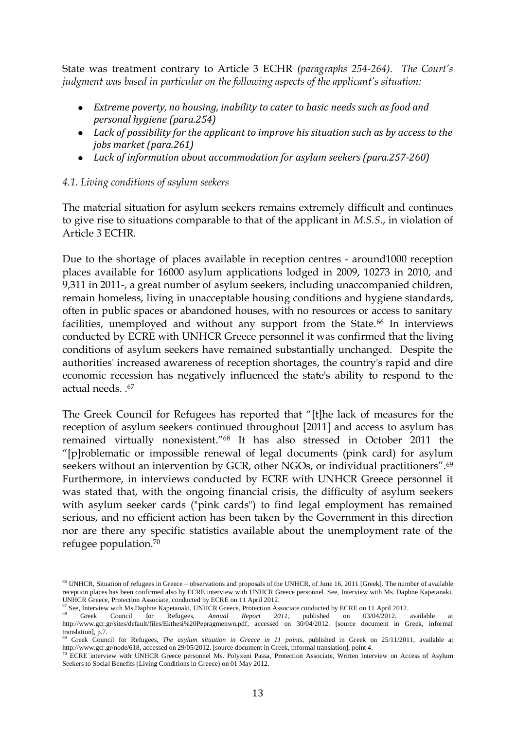State was treatment contrary to Article 3 ECHR *(paragraphs 254-264). The Court's judgment was based in particular on the following aspects of the applicant's situation:*

- *Extreme poverty, no housing, inability to cater to basic needs such as food and personal hygiene (para.254)*
- *Lack of possibility for the applicant to improve his situation such as by access to the jobs market (para.261)*
- *Lack of information about accommodation for asylum seekers (para.257-260)*

## *4.1. Living conditions of asylum seekers*

The material situation for asylum seekers remains extremely difficult and continues to give rise to situations comparable to that of the applicant in *M.S.S*., in violation of Article 3 ECHR.

Due to the shortage of places available in reception centres - around1000 reception places available for 16000 asylum applications lodged in 2009, 10273 in 2010, and 9,311 in 2011-, a great number of asylum seekers, including unaccompanied children, remain homeless, living in unacceptable housing conditions and hygiene standards, often in public spaces or abandoned houses, with no resources or access to sanitary facilities, unemployed and without any support from the State.<sup>66</sup> In interviews conducted by ECRE with UNHCR Greece personnel it was confirmed that the living conditions of asylum seekers have remained substantially unchanged. Despite the authorities' increased awareness of reception shortages, the country's rapid and dire economic recession has negatively influenced the state's ability to respond to the actual needs. .<sup>67</sup>

The Greek Council for Refugees has reported that "[t]he lack of measures for the reception of asylum seekers continued throughout [2011] and access to asylum has remained virtually nonexistent."<sup>68</sup> It has also stressed in October 2011 the "[p]roblematic or impossible renewal of legal documents (pink card) for asylum seekers without an intervention by GCR, other NGOs, or individual practitioners".<sup>69</sup> Furthermore, in interviews conducted by ECRE with UNHCR Greece personnel it was stated that, with the ongoing financial crisis, the difficulty of asylum seekers with asylum seeker cards ("pink cards") to find legal employment has remained serious, and no efficient action has been taken by the Government in this direction nor are there any specific statistics available about the unemployment rate of the refugee population.<sup>70</sup>

 $\overline{a}$ <sup>66</sup> UNHCR, Situation of refugees in Greece – observations and proposals of the UNHCR, of June 16, 2011 [Greek]. The number of available reception places has been confirmed also by ECRE interview with UNHCR Greece personnel. See, Interview with Ms. Daphne Kapetanaki, UNHCR Greece, Protection Associate, conducted by ECRE on 11 April 2012.

 $67$  See, Interview with Ms.Daphne Kapetanaki, UNHCR Greece, Protection Associate conducted by ECRE on 11 April 2012.

<sup>68</sup> Greek Council for Refugees, *Annual Report 2011*, published on 03/04/2012, available at [http://www.gcr.gr/sites/default/files/Ekthesi%20Pepragmenwn.pdf,](http://www.gcr.gr/sites/default/files/Ekthesi%20Pepragmenwn.pdf) accessed on 30/04/2012. [source document in Greek, informal translation], p.7.

<sup>69</sup> Greek Council for Refugees, *The asylum situation in Greece in 11 points*, published in Greek on 25/11/2011, available at [http://www.gcr.gr/node/618,](http://www.gcr.gr/node/618) accessed on 29/05/2012. [source document in Greek, informal translation], point 4.

<sup>&</sup>lt;sup>70</sup> ECRE interview with UNHCR Greece personnel Ms. Polyxeni Passa, Protection Associate, Written Interview on Access of Asylum Seekers to Social Benefits (Living Conditions in Greece) on 01 May 2012.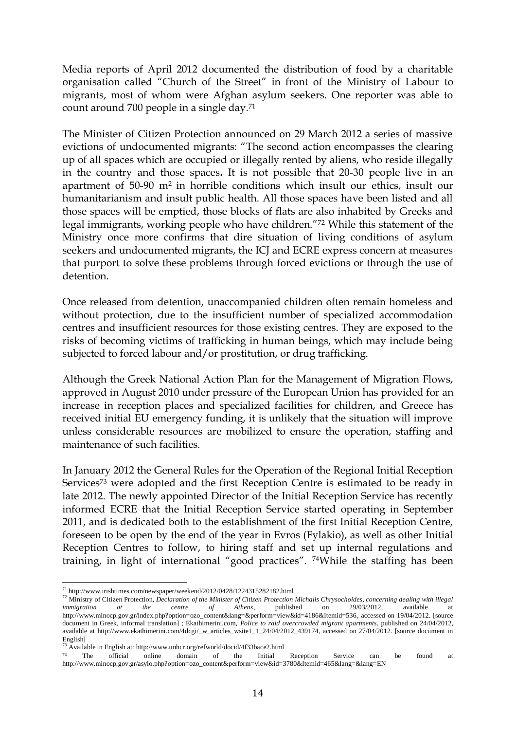Media reports of April 2012 documented the distribution of food by a charitable organisation called "Church of the Street" in front of the Ministry of Labour to migrants, most of whom were Afghan asylum seekers. One reporter was able to count around 700 people in a single day.<sup>71</sup>

The Minister of Citizen Protection announced on 29 March 2012 a series of massive evictions of undocumented migrants: "The second action encompasses the clearing up of all spaces which are occupied or illegally rented by aliens, who reside illegally in the country and those spaces**.** It is not possible that 20-30 people live in an apartment of 50-90 m2 in horrible conditions which insult our ethics, insult our humanitarianism and insult public health. All those spaces have been listed and all those spaces will be emptied, those blocks of flats are also inhabited by Greeks and legal immigrants, working people who have children."<sup>72</sup> While this statement of the Ministry once more confirms that dire situation of living conditions of asylum seekers and undocumented migrants, the ICJ and ECRE express concern at measures that purport to solve these problems through forced evictions or through the use of detention.

Once released from detention, unaccompanied children often remain homeless and without protection, due to the insufficient number of specialized accommodation centres and insufficient resources for those existing centres. They are exposed to the risks of becoming victims of trafficking in human beings, which may include being subjected to forced labour and/or prostitution, or drug trafficking.

Although the Greek National Action Plan for the Management of Migration Flows, approved in August 2010 under pressure of the European Union has provided for an increase in reception places and specialized facilities for children, and Greece has received initial EU emergency funding, it is unlikely that the situation will improve unless considerable resources are mobilized to ensure the operation, staffing and maintenance of such facilities.

In January 2012 the General Rules for the Operation of the Regional Initial Reception Services<sup>73</sup> were adopted and the first Reception Centre is estimated to be ready in late 2012. The newly appointed Director of the Initial Reception Service has recently informed ECRE that the Initial Reception Service started operating in September 2011, and is dedicated both to the establishment of the first Initial Reception Centre, foreseen to be open by the end of the year in Evros (Fylakio), as well as other Initial Reception Centres to follow, to hiring staff and set up internal regulations and training, in light of international "good practices". 74While the staffing has been

 $\overline{a}$  $^{71}$  <http://www.irishtimes.com/newspaper/weekend/2012/0428/1224315282182.html>

<sup>72</sup> Ministry of Citizen Protection, *Declaration of the Minister of Citizen Protection Michalis Chrysochoides, concerning dealing with illegal immigration at the centre of Athens*, published on 29/03/2012, available at [http://www.minocp.gov.gr/index.php?option=ozo\\_content&lang=&perform=view&id=4186&Itemid=536,](http://www.minocp.gov.gr/index.php?option=ozo_content&lang=&perform=view&id=4186&Itemid=536) accessed on 19/04/2012. [source document in Greek, informal translation] ; Ekathimerini.com, *Police to raid overcrowded migrant apartments*, published on 24/04/2012, available at [http://www.ekathimerini.com/4dcgi/\\_w\\_articles\\_wsite1\\_1\\_24/04/2012\\_439174,](http://www.ekathimerini.com/4dcgi/_w_articles_wsite1_1_24/04/2012_439174) accessed on 27/04/2012. [source document in English]<br><sup>73</sup> Available in English at:<http://www.unhcr.org/refworld/docid/4f33bace2.html>

 $74$  The official online domain of the Initial Reception Service can be found at http://www.minocp.gov.gr/asylo.php?option=ozo\_content&perform=view&id=3780&Itemid=465&lang=&lang=EN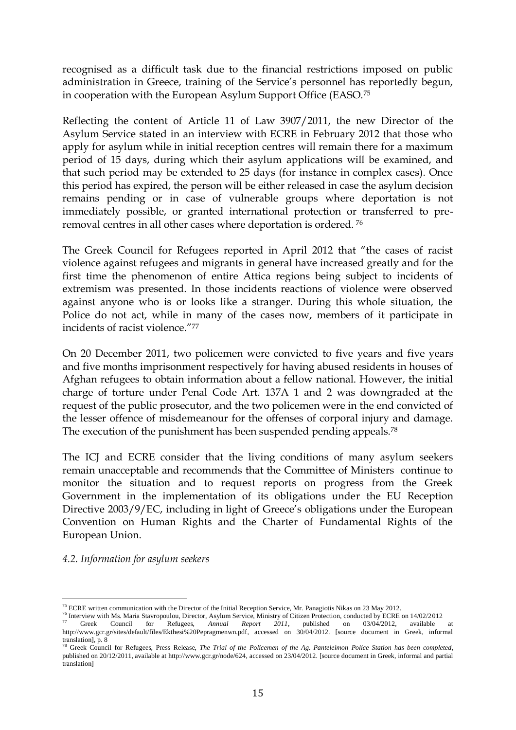recognised as a difficult task due to the financial restrictions imposed on public administration in Greece, training of the Service's personnel has reportedly begun, in cooperation with the European Asylum Support Office (EASO.<sup>75</sup>

Reflecting the content of Article 11 of Law 3907/2011, the new Director of the Asylum Service stated in an interview with ECRE in February 2012 that those who apply for asylum while in initial reception centres will remain there for a maximum period of 15 days, during which their asylum applications will be examined, and that such period may be extended to 25 days (for instance in complex cases). Once this period has expired, the person will be either released in case the asylum decision remains pending or in case of vulnerable groups where deportation is not immediately possible, or granted international protection or transferred to preremoval centres in all other cases where deportation is ordered. <sup>76</sup>

The Greek Council for Refugees reported in April 2012 that "the cases of racist violence against refugees and migrants in general have increased greatly and for the first time the phenomenon of entire Attica regions being subject to incidents of extremism was presented. In those incidents reactions of violence were observed against anyone who is or looks like a stranger. During this whole situation, the Police do not act, while in many of the cases now, members of it participate in incidents of racist violence."<sup>77</sup>

On 20 December 2011, two policemen were convicted to five years and five years and five months imprisonment respectively for having abused residents in houses of Afghan refugees to obtain information about a fellow national. However, the initial charge of torture under Penal Code Art. 137A 1 and 2 was downgraded at the request of the public prosecutor, and the two policemen were in the end convicted of the lesser offence of misdemeanour for the offenses of corporal injury and damage. The execution of the punishment has been suspended pending appeals.<sup>78</sup>

The ICJ and ECRE consider that the living conditions of many asylum seekers remain unacceptable and recommends that the Committee of Ministers continue to monitor the situation and to request reports on progress from the Greek Government in the implementation of its obligations under the EU Reception Directive 2003/9/EC, including in light of Greece's obligations under the European Convention on Human Rights and the Charter of Fundamental Rights of the European Union.

### *4.2. Information for asylum seekers*

 $\overline{a}$ <sup>75</sup> ECRE written communication with the Director of the Initial Reception Service, Mr. Panagiotis Nikas on 23 May 2012.

<sup>76</sup> Interview with Ms. Maria Stavropoulou, Director, Asylum Service, Ministry of Citizen Protection, conducted by ECRE on 14/02/2012 <sup>77</sup> Greek Council for Refugees, *Annual Report 2011*, published on 03/04/2012, available at [http://www.gcr.gr/sites/default/files/Ekthesi%20Pepragmenwn.pdf,](http://www.gcr.gr/sites/default/files/Ekthesi%20Pepragmenwn.pdf) accessed on 30/04/2012. [source document in Greek, informal

translation], p. 8<br><sup>78</sup> Greek Council for Refugees, Press Release, *The Trial of the Policemen of the Ag. Panteleimon Police Station has been completed,* published on 20/12/2011, available a[t http://www.gcr.gr/node/624,](http://www.gcr.gr/node/624) accessed on 23/04/2012. [source document in Greek, informal and partial translation]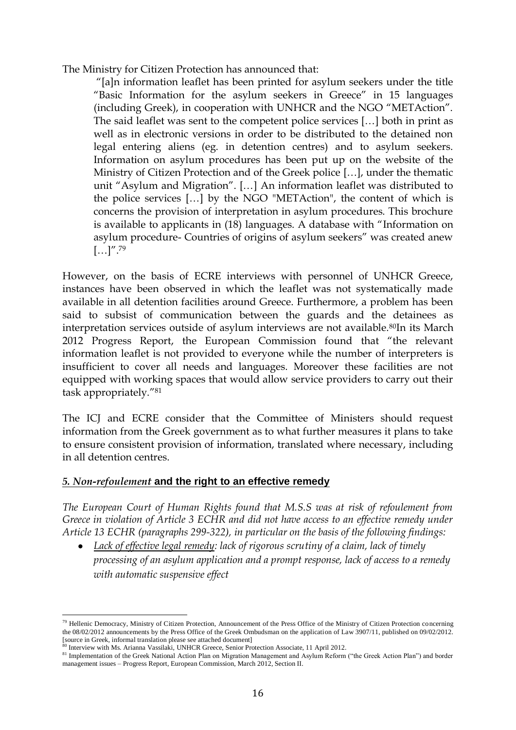The Ministry for Citizen Protection has announced that:

"[a]n information leaflet has been printed for asylum seekers under the title "Basic Information for the asylum seekers in Greece" in 15 languages (including Greek), in cooperation with UNHCR and the NGO "METAction". The said leaflet was sent to the competent police services […] both in print as well as in electronic versions in order to be distributed to the detained non legal entering aliens (eg. in detention centres) and to asylum seekers. Information on asylum procedures has been put up on the website of the Ministry of Citizen Protection and of the Greek police […], under the thematic unit "Asylum and Migration". […] An information leaflet was distributed to the police services […] by the NGO "METAction", the content of which is concerns the provision of interpretation in asylum procedures. This brochure is available to applicants in (18) languages. A database with "Information on asylum procedure- Countries of origins of asylum seekers" was created anew  $\left[\ldots\right]''$ .<sup>79</sup>

However, on the basis of ECRE interviews with personnel of UNHCR Greece, instances have been observed in which the leaflet was not systematically made available in all detention facilities around Greece. Furthermore, a problem has been said to subsist of communication between the guards and the detainees as interpretation services outside of asylum interviews are not available.<sup>80</sup>In its March 2012 Progress Report, the European Commission found that "the relevant information leaflet is not provided to everyone while the number of interpreters is insufficient to cover all needs and languages. Moreover these facilities are not equipped with working spaces that would allow service providers to carry out their task appropriately."<sup>81</sup>

The ICJ and ECRE consider that the Committee of Ministers should request information from the Greek government as to what further measures it plans to take to ensure consistent provision of information, translated where necessary, including in all detention centres.

### *5. Non-refoulement* **and the right to an effective remedy**

*The European Court of Human Rights found that M.S.S was at risk of refoulement from Greece in violation of Article 3 ECHR and did not have access to an effective remedy under Article 13 ECHR (paragraphs 299-322), in particular on the basis of the following findings:*

*Lack of effective legal remedy: lack of rigorous scrutiny of a claim, lack of timely processing of an asylum application and a prompt response, lack of access to a remedy with automatic suspensive effect* 

 $\overline{a}$  $79$  Hellenic Democracy, Ministry of Citizen Protection, Announcement of the Press Office of the Ministry of Citizen Protection concerning the 08/02/2012 announcements by the Press Office of the Greek Ombudsman on the application of Law 3907/11, published on 09/02/2012. [source in Greek, informal translation please see attached document]

<sup>&</sup>lt;sup>3</sup> Interview with Ms. Arianna Vassilaki, UNHCR Greece, Senior Protection Associate, 11 April 2012.

<sup>81</sup> Implementation of the Greek National Action Plan on Migration Management and Asylum Reform ("the Greek Action Plan") and border management issues – Progress Report, European Commission, March 2012, Section II.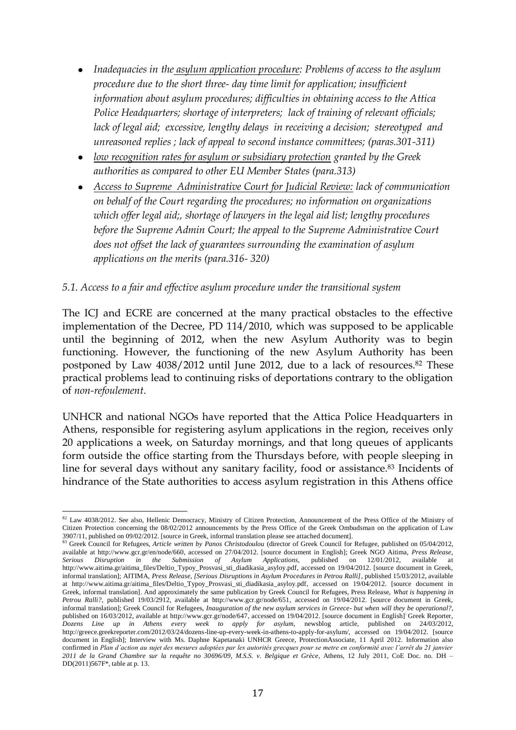- *Inadequacies in the asylum application procedure: Problems of access to the asylum procedure due to the short three- day time limit for application; insufficient information about asylum procedures; difficulties in obtaining access to the Attica Police Headquarters; shortage of interpreters; lack of training of relevant officials; lack of legal aid; excessive, lengthy delays in receiving a decision; stereotyped and unreasoned replies ; lack of appeal to second instance committees; (paras.301-311)*
- *low recognition rates for asylum or subsidiary protection granted by the Greek authorities as compared to other EU Member States (para.313)*
- *Access to Supreme Administrative Court for Judicial Review: lack of communication on behalf of the Court regarding the procedures; no information on organizations which offer legal aid;, shortage of lawyers in the legal aid list; lengthy procedures before the Supreme Admin Court; the appeal to the Supreme Administrative Court does not offset the lack of guarantees surrounding the examination of asylum applications on the merits (para.316- 320)*

## *5.1. Access to a fair and effective asylum procedure under the transitional system*

The ICJ and ECRE are concerned at the many practical obstacles to the effective implementation of the Decree, PD 114/2010, which was supposed to be applicable until the beginning of 2012, when the new Asylum Authority was to begin functioning. However, the functioning of the new Asylum Authority has been postponed by Law 4038/2012 until June 2012, due to a lack of resources.<sup>82</sup> These practical problems lead to continuing risks of deportations contrary to the obligation of *non-refoulement*.

UNHCR and national NGOs have reported that the Attica Police Headquarters in Athens, responsible for registering asylum applications in the region, receives only 20 applications a week, on Saturday mornings, and that long queues of applicants form outside the office starting from the Thursdays before, with people sleeping in line for several days without any sanitary facility, food or assistance.<sup>83</sup> Incidents of hindrance of the State authorities to access asylum registration in this Athens office

 $\overline{a}$  $82$  Law 4038/2012. See also, Hellenic Democracy, Ministry of Citizen Protection, Announcement of the Press Office of the Ministry of Citizen Protection concerning the 08/02/2012 announcements by the Press Office of the Greek Ombudsman on the application of Law 3907/11, published on 09/02/2012. [source in Greek, informal translation please see attached document].

<sup>83</sup> Greek Council for Refugees, *Article written by Panos Christodoulou* (director of Greek Council for Refugee, published on 05/04/2012, available at [http://www.gcr.gr/en/node/660,](http://www.gcr.gr/en/node/660) accessed on 27/04/2012. [source document in English]; Greek NGO Aitima, *Press Release, Serious Disruption in the Submission of Asylum Applications,* published on 12/01/2012, available at [http://www.aitima.gr/aitima\\_files/Deltio\\_Typoy\\_Prosvasi\\_sti\\_diadikasia\\_asyloy.pdf,](http://www.aitima.gr/aitima_files/Deltio_Typoy_Prosvasi_sti_diadikasia_asyloy.pdf) accessed on 19/04/2012. [source document in Greek, informal translation]; AITIMA, *Press Release, [Serious Disruptions in Asylum Procedures in Petrou Ralli]*, published 15/03/2012, available at [http://www.aitima.gr/aitima\\_files/Deltio\\_Typoy\\_Prosvasi\\_sti\\_diadikasia\\_asyloy.pdf,](http://www.aitima.gr/aitima_files/Deltio_Typoy_Prosvasi_sti_diadikasia_asyloy.pdf) accessed on 19/04/2012. [source document in Greek, informal translation]. And approximately the same publication by Greek Council for Refugees, Press Release, *What is happening in Petrou Ralli?,* published 19/03/2912, available at [http://www.gcr.gr/node/651,](http://www.gcr.gr/node/651) accessed on 19/04/2012. [source document in Greek, informal translation]; Greek Council for Refugees, *Inauguration of the new asylum services in Greece- but when will they be operational?,*  published on 16/03/2012, available at [http://www.gcr.gr/node/647,](http://www.gcr.gr/node/647) accessed on 19/04/2012. [source document in English] Greek Reporter, *Dozens Line up in Athens every week to apply for asylum,* newsblog article, published on 24/03/2012, [http://greece.greekreporter.com/2012/03/24/dozens-line-up-every-week-in-athens-to-apply-for-asylum/,](http://greece.greekreporter.com/2012/03/24/dozens-line-up-every-week-in-athens-to-apply-for-asylum/) accessed on 19/04/2012. [source document in English]; Interview with Ms. Daphne Kapetanaki UNHCR Greece, ProtectionAssociate, 11 April 2012. Information also confirmed in *Plan d'action au sujet des mesures adoptées par les autorités grecques pour se metre en conformité avec l'arrêt du 21 janvier 2011 de la Grand Chambre sur la requête no 30696/09, M.S.S. v. Belgique et Grèce*, Athens, 12 July 2011, CoE Doc. no. DH – DD(2011)567F\*, table at p. 13.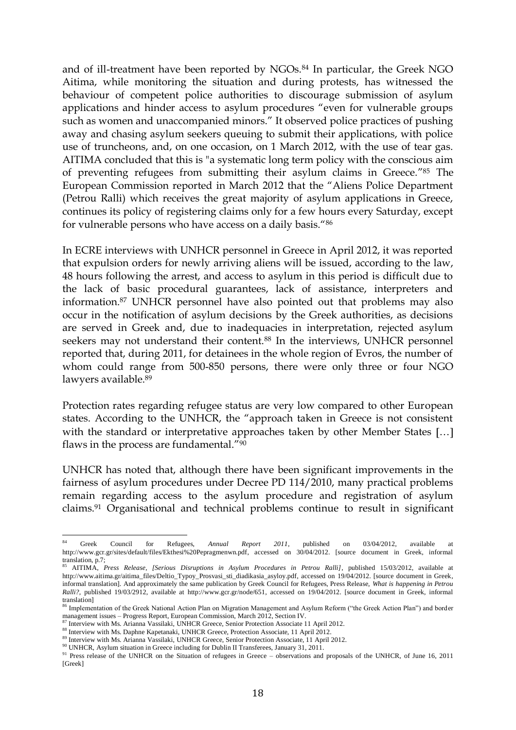and of ill-treatment have been reported by NGOs.<sup>84</sup> In particular, the Greek NGO Aitima, while monitoring the situation and during protests, has witnessed the behaviour of competent police authorities to discourage submission of asylum applications and hinder access to asylum procedures "even for vulnerable groups such as women and unaccompanied minors." It observed police practices of pushing away and chasing asylum seekers queuing to submit their applications, with police use of truncheons, and, on one occasion, on 1 March 2012, with the use of tear gas. AITIMA concluded that this is "a systematic long term policy with the conscious aim of preventing refugees from submitting their asylum claims in Greece." <sup>85</sup> The European Commission reported in March 2012 that the "Aliens Police Department (Petrou Ralli) which receives the great majority of asylum applications in Greece, continues its policy of registering claims only for a few hours every Saturday, except for vulnerable persons who have access on a daily basis."<sup>86</sup>

In ECRE interviews with UNHCR personnel in Greece in April 2012, it was reported that expulsion orders for newly arriving aliens will be issued, according to the law, 48 hours following the arrest, and access to asylum in this period is difficult due to the lack of basic procedural guarantees, lack of assistance, interpreters and information.<sup>87</sup> UNHCR personnel have also pointed out that problems may also occur in the notification of asylum decisions by the Greek authorities, as decisions are served in Greek and, due to inadequacies in interpretation, rejected asylum seekers may not understand their content.<sup>88</sup> In the interviews, UNHCR personnel reported that, during 2011, for detainees in the whole region of Evros, the number of whom could range from 500-850 persons, there were only three or four NGO lawyers available.<sup>89</sup>

Protection rates regarding refugee status are very low compared to other European states. According to the UNHCR, the "approach taken in Greece is not consistent with the standard or interpretative approaches taken by other Member States [...] flaws in the process are fundamental."<sup>90</sup>

UNHCR has noted that, although there have been significant improvements in the fairness of asylum procedures under Decree PD 114/2010, many practical problems remain regarding access to the asylum procedure and registration of asylum claims.<sup>91</sup> Organisational and technical problems continue to result in significant

 $84$ <sup>84</sup> Greek Council for Refugees, *Annual Report 2011*, published on 03/04/2012, available at [http://www.gcr.gr/sites/default/files/Ekthesi%20Pepragmenwn.pdf,](http://www.gcr.gr/sites/default/files/Ekthesi%20Pepragmenwn.pdf) accessed on 30/04/2012. [source document in Greek, informal translation, p.7;

<sup>85</sup> AITIMA, *Press Release, [Serious Disruptions in Asylum Procedures in Petrou Ralli]*, published 15/03/2012, available at [http://www.aitima.gr/aitima\\_files/Deltio\\_Typoy\\_Prosvasi\\_sti\\_diadikasia\\_asyloy.pdf,](http://www.aitima.gr/aitima_files/Deltio_Typoy_Prosvasi_sti_diadikasia_asyloy.pdf) accessed on 19/04/2012. [source document in Greek, informal translation]. And approximately the same publication by Greek Council for Refugees, Press Release, *What is happening in Petrou Ralli?,* published 19/03/2912, available at [http://www.gcr.gr/node/651,](http://www.gcr.gr/node/651) accessed on 19/04/2012. [source document in Greek, informal translation]

<sup>&</sup>lt;sup>86</sup> Implementation of the Greek National Action Plan on Migration Management and Asylum Reform ("the Greek Action Plan") and border management issues – Progress Report, European Commission, March 2012, Section IV.

 $^7$  Interview with Ms. Arianna Vassilaki, UNHCR Greece, Senior Protection Associate 11 April 2012.

<sup>88</sup> Interview with Ms. Daphne Kapetanaki, UNHCR Greece, Protection Associate, 11 April 2012.

<sup>89</sup> Interview with Ms. Arianna Vassilaki, UNHCR Greece, Senior Protection Associate, 11 April 2012.

<sup>&</sup>lt;sup>90</sup> UNHCR, Asylum situation in Greece including for Dublin II Transferees, January 31, 2011.

<sup>&</sup>lt;sup>91</sup> Press release of the UNHCR on the Situation of refugees in Greece – observations and proposals of the UNHCR, of June 16, 2011 [Greek]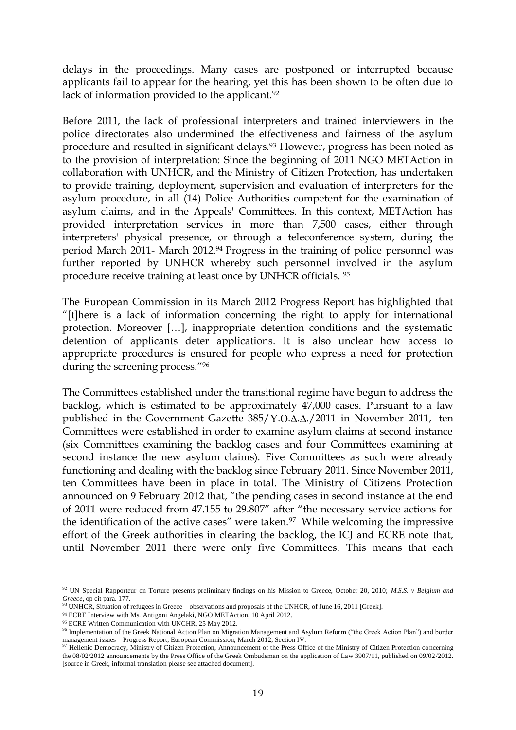delays in the proceedings. Many cases are postponed or interrupted because applicants fail to appear for the hearing, yet this has been shown to be often due to lack of information provided to the applicant.<sup>92</sup>

Before 2011, the lack of professional interpreters and trained interviewers in the police directorates also undermined the effectiveness and fairness of the asylum procedure and resulted in significant delays.<sup>93</sup> However, progress has been noted as to the provision of interpretation: Since the beginning of 2011 NGO METAction in collaboration with UNHCR, and the Ministry of Citizen Protection, has undertaken to provide training, deployment, supervision and evaluation of interpreters for the asylum procedure, in all (14) Police Authorities competent for the examination of asylum claims, and in the Appeals' Committees. In this context, METAction has provided interpretation services in more than 7,500 cases, either through interpreters' physical presence, or through a teleconference system, during the period March 2011- March 2012.<sup>94</sup> Progress in the training of police personnel was further reported by UNHCR whereby such personnel involved in the asylum procedure receive training at least once by UNHCR officials. <sup>95</sup>

The European Commission in its March 2012 Progress Report has highlighted that "[t]here is a lack of information concerning the right to apply for international protection. Moreover […], inappropriate detention conditions and the systematic detention of applicants deter applications. It is also unclear how access to appropriate procedures is ensured for people who express a need for protection during the screening process."<sup>96</sup>

The Committees established under the transitional regime have begun to address the backlog, which is estimated to be approximately 47,000 cases. Pursuant to a law published in the Government Gazette 385/Y.O. $\Delta$ . $\Delta$ ./2011 in November 2011, ten Committees were established in order to examine asylum claims at second instance (six Committees examining the backlog cases and four Committees examining at second instance the new asylum claims). Five Committees as such were already functioning and dealing with the backlog since February 2011. Since November 2011, ten Committees have been in place in total. The Ministry of Citizens Protection announced on 9 February 2012 that, "the pending cases in second instance at the end of 2011 were reduced from 47.155 to 29.807" after "the necessary service actions for the identification of the active cases" were taken.<sup>97</sup> While welcoming the impressive effort of the Greek authorities in clearing the backlog, the ICJ and ECRE note that, until November 2011 there were only five Committees. This means that each

<sup>92</sup> UN Special Rapporteur on Torture presents preliminary findings on his Mission to Greece, October 20, 2010; *M.S.S. v Belgium and Greece*, op cit para. 177.

<sup>93</sup> UNHCR, Situation of refugees in Greece – observations and proposals of the UNHCR, of June 16, 2011 [Greek].

<sup>94</sup> ECRE Interview with Ms. Antigoni Angelaki, NGO METAction, 10 April 2012.

<sup>95</sup> ECRE Written Communication with UNCHR, 25 May 2012.

<sup>96</sup> Implementation of the Greek National Action Plan on Migration Management and Asylum Reform ("the Greek Action Plan") and border management issues – Progress Report, European Commission, March 2012, Section IV.<br><sup>97</sup> Hellenic Democracy, Ministry of Citizen Protection, Announcement of the Press Office of the Ministry of Citizen Protection concerning

the 08/02/2012 announcements by the Press Office of the Greek Ombudsman on the application of Law 3907/11, published on 09/02/2012. [source in Greek, informal translation please see attached document].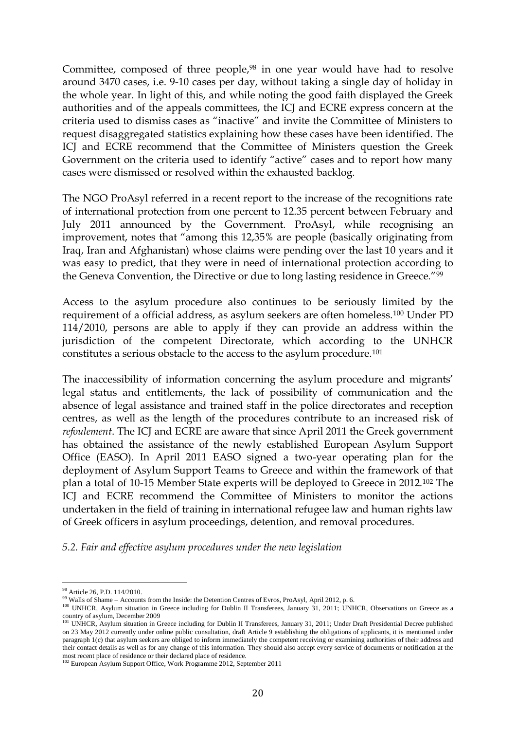Committee, composed of three people,<sup>98</sup> in one year would have had to resolve around 3470 cases, i.e. 9-10 cases per day, without taking a single day of holiday in the whole year. In light of this, and while noting the good faith displayed the Greek authorities and of the appeals committees, the ICJ and ECRE express concern at the criteria used to dismiss cases as "inactive" and invite the Committee of Ministers to request disaggregated statistics explaining how these cases have been identified. The ICJ and ECRE recommend that the Committee of Ministers question the Greek Government on the criteria used to identify "active" cases and to report how many cases were dismissed or resolved within the exhausted backlog.

The NGO ProAsyl referred in a recent report to the increase of the recognitions rate of international protection from one percent to 12.35 percent between February and July 2011 announced by the Government. ProAsyl, while recognising an improvement, notes that "among this 12,35% are people (basically originating from Iraq, Iran and Afghanistan) whose claims were pending over the last 10 years and it was easy to predict, that they were in need of international protection according to the Geneva Convention, the Directive or due to long lasting residence in Greece."<sup>99</sup>

Access to the asylum procedure also continues to be seriously limited by the requirement of a official address, as asylum seekers are often homeless.<sup>100</sup> Under PD 114/2010, persons are able to apply if they can provide an address within the jurisdiction of the competent Directorate, which according to the UNHCR constitutes a serious obstacle to the access to the asylum procedure.<sup>101</sup>

The inaccessibility of information concerning the asylum procedure and migrants' legal status and entitlements, the lack of possibility of communication and the absence of legal assistance and trained staff in the police directorates and reception centres, as well as the length of the procedures contribute to an increased risk of *refoulement*. The ICJ and ECRE are aware that since April 2011 the Greek government has obtained the assistance of the newly established European Asylum Support Office (EASO). In April 2011 EASO signed a two-year operating plan for the deployment of Asylum Support Teams to Greece and within the framework of that plan a total of 10-15 Member State experts will be deployed to Greece in 2012.<sup>102</sup> The ICJ and ECRE recommend the Committee of Ministers to monitor the actions undertaken in the field of training in international refugee law and human rights law of Greek officers in asylum proceedings, detention, and removal procedures.

*5.2. Fair and effective asylum procedures under the new legislation*

 $\overline{a}$ 98 Article 26, P.D. 114/2010.

<sup>99</sup> Walls of Shame – Accounts from the Inside: the Detention Centres of Evros, ProAsyl, April 2012, p. 6.

<sup>&</sup>lt;sup>100</sup> UNHCR, Asylum situation in Greece including for Dublin II Transferees, January 31, 2011; UNHCR, Observations on Greece as a country of asylum, December 2009<br><sup>101</sup> UNHCR, Asylum situation in Greece including for Dublin II Transferees, January 31, 2011; Under Draft Presidential Decree published

on 23 May 2012 currently under online public consultation, draft Article 9 establishing the obligations of applicants, it is mentioned under paragraph 1(c) that asylum seekers are obliged to inform immediately the competent receiving or examining authorities of their address and their contact details as well as for any change of this information. They should also accept every service of documents or notification at the

most recent place of residence or their declared place of residence.<br><sup>102</sup> European Asylum Support Office, Work Programme 2012, September 2011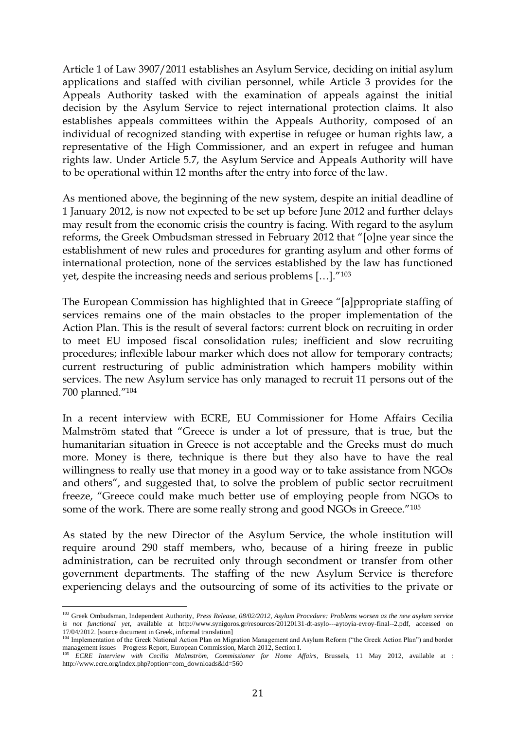Article 1 of Law 3907/2011 establishes an Asylum Service, deciding on initial asylum applications and staffed with civilian personnel, while Article 3 provides for the Appeals Authority tasked with the examination of appeals against the initial decision by the Asylum Service to reject international protection claims. It also establishes appeals committees within the Appeals Authority, composed of an individual of recognized standing with expertise in refugee or human rights law, a representative of the High Commissioner, and an expert in refugee and human rights law. Under Article 5.7, the Asylum Service and Appeals Authority will have to be operational within 12 months after the entry into force of the law.

As mentioned above, the beginning of the new system, despite an initial deadline of 1 January 2012, is now not expected to be set up before June 2012 and further delays may result from the economic crisis the country is facing. With regard to the asylum reforms, the Greek Ombudsman stressed in February 2012 that "[o]ne year since the establishment of new rules and procedures for granting asylum and other forms of international protection, none of the services established by the law has functioned yet, despite the increasing needs and serious problems […]."<sup>103</sup>

The European Commission has highlighted that in Greece "[a]ppropriate staffing of services remains one of the main obstacles to the proper implementation of the Action Plan. This is the result of several factors: current block on recruiting in order to meet EU imposed fiscal consolidation rules; inefficient and slow recruiting procedures; inflexible labour marker which does not allow for temporary contracts; current restructuring of public administration which hampers mobility within services. The new Asylum service has only managed to recruit 11 persons out of the 700 planned."<sup>104</sup>

In a recent interview with ECRE, EU Commissioner for Home Affairs Cecilia Malmström stated that "Greece is under a lot of pressure, that is true, but the humanitarian situation in Greece is not acceptable and the Greeks must do much more. Money is there, technique is there but they also have to have the real willingness to really use that money in a good way or to take assistance from NGOs and others", and suggested that, to solve the problem of public sector recruitment freeze, "Greece could make much better use of employing people from NGOs to some of the work. There are some really strong and good NGOs in Greece."<sup>105</sup>

As stated by the new Director of the Asylum Service, the whole institution will require around 290 staff members, who, because of a hiring freeze in public administration, can be recruited only through secondment or transfer from other government departments. The staffing of the new Asylum Service is therefore experiencing delays and the outsourcing of some of its activities to the private or

<sup>103</sup> Greek Ombudsman, Independent Authority, *Press Release, 08/02/2012, Asylum Procedure: Problems worsen as the new asylum service is not functional yet*, available at [http://www.synigoros.gr/resources/20120131-dt-asylo---aytoyia-evroy-final--2.pdf,](http://www.synigoros.gr/resources/20120131-dt-asylo---aytoyia-evroy-final--2.pdf) accessed on 17/04/2012. [source document in Greek, informal translation]<br><sup>104</sup> Implementation of the Greek National Action Plan on Migration Management and Asylum Reform ("the Greek Action Plan") and border

management issues – Progress Report, European Commission, March 2012, Section I.

<sup>105</sup> *ECRE Interview with Cecilia Malmström, Commissioner for Home Affairs*, Brussels, 11 May 2012, available at : [http://www.ecre.org/index.php?option=com\\_downloads&id=560](http://www.ecre.org/index.php?option=com_downloads&id=560)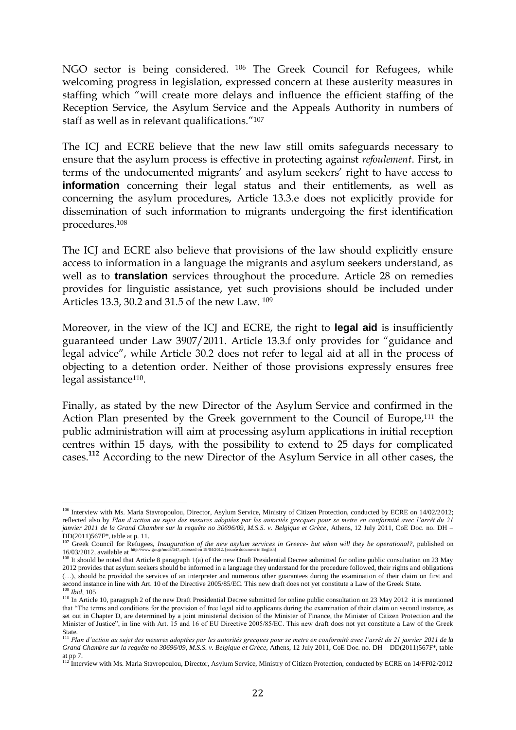NGO sector is being considered. <sup>106</sup> The Greek Council for Refugees, while welcoming progress in legislation, expressed concern at these austerity measures in staffing which "will create more delays and influence the efficient staffing of the Reception Service, the Asylum Service and the Appeals Authority in numbers of staff as well as in relevant qualifications."<sup>107</sup>

The ICJ and ECRE believe that the new law still omits safeguards necessary to ensure that the asylum process is effective in protecting against *refoulement*. First, in terms of the undocumented migrants' and asylum seekers' right to have access to **information** concerning their legal status and their entitlements, as well as concerning the asylum procedures, Article 13.3.e does not explicitly provide for dissemination of such information to migrants undergoing the first identification procedures.<sup>108</sup>

The ICJ and ECRE also believe that provisions of the law should explicitly ensure access to information in a language the migrants and asylum seekers understand, as well as to **translation** services throughout the procedure. Article 28 on remedies provides for linguistic assistance, yet such provisions should be included under Articles 13.3, 30.2 and 31.5 of the new Law. <sup>109</sup>

Moreover, in the view of the ICJ and ECRE, the right to **legal aid** is insufficiently guaranteed under Law 3907/2011. Article 13.3.f only provides for "guidance and legal advice", while Article 30.2 does not refer to legal aid at all in the process of objecting to a detention order. Neither of those provisions expressly ensures free legal assistance<sup>110</sup>.

Finally, as stated by the new Director of the Asylum Service and confirmed in the Action Plan presented by the Greek government to the Council of Europe,<sup>111</sup> the public administration will aim at processing asylum applications in initial reception centres within 15 days, with the possibility to extend to 25 days for complicated cases.**<sup>112</sup>** According to the new Director of the Asylum Service in all other cases, the

<sup>&</sup>lt;sup>106</sup> Interview with Ms. Maria Stavropoulou, Director, Asylum Service, Ministry of Citizen Protection, conducted by ECRE on 14/02/2012; reflected also by *Plan d'action au sujet des mesures adoptées par les autorités grecques pour se metre en conformité avec l'arrêt du 21 janvier 2011 de la Grand Chambre sur la requête no 30696/09, M.S.S. v. Belgique et Grèce*, Athens, 12 July 2011, CoE Doc. no. DH – DD(2011)567F\*, table at p. 11.

<sup>107</sup> Greek Council for Refugees, *Inauguration of the new asylum services in Greece- but when will they be operational?*, published on 16/02/2011/0011 for Refugees, *Inauguration of the new asylum services in Greece- but wh* 16/03/2012, available at [http://www.gcr.gr/node/647,](http://www.gcr.gr/node/647) accessed on 19/04/2012. [source document in English]

<sup>&</sup>lt;sup>108</sup> It should be noted that Article 8 paragraph 1(a) of the new Draft Presidential Decree submitted for online public consultation on 23 May 2012 provides that asylum seekers should be informed in a language they understand for the procedure followed, their rights and obligations (…), should be provided the services of an interpreter and numerous other guarantees during the examination of their claim on first and second instance in line with Art. 10 of the Directive 2005/85/EC. This new draft does not yet constitute a Law of the Greek State. <sup>109</sup> *Ibid*, 105

<sup>&</sup>lt;sup>110</sup> In Article 10, paragraph 2 of the new Draft Presidential Decree submitted for online public consultation on 23 May 2012 it is mentioned that "The terms and conditions for the provision of free legal aid to applicants during the examination of their claim on second instance, as set out in Chapter D, are determined by a joint ministerial decision of the Minister of Finance, the Minister of Citizen Protection and the Minister of Justice", in line with Art. 15 and 16 of EU Directive 2005/85/EC. This new draft does not yet constitute a Law of the Greek

State.<br><sup>111</sup> Plan d'action au sujet des mesures adoptées par les autorités grecques pour se metre en conformité avec l'arrêt du 21 janvier 2011 de la *Grand Chambre sur la requête no 30696/09, M.S.S. v. Belgique et Grèce,* Athens, 12 July 2011, CoE Doc. no. DH – DD(2011)567F\*, table

at pp 7.<br><sup>112</sup> Interview with Ms. Maria Stavropoulou, Director, Asylum Service, Ministry of Citizen Protection, conducted by ECRE on 14/FF02/2012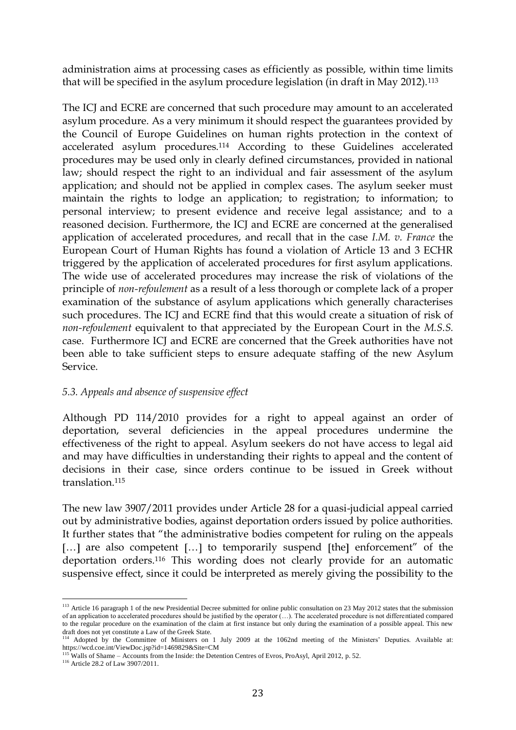administration aims at processing cases as efficiently as possible, within time limits that will be specified in the asylum procedure legislation (in draft in May 2012).<sup>113</sup>

The ICJ and ECRE are concerned that such procedure may amount to an accelerated asylum procedure. As a very minimum it should respect the guarantees provided by the Council of Europe Guidelines on human rights protection in the context of accelerated asylum procedures.<sup>114</sup> According to these Guidelines accelerated procedures may be used only in clearly defined circumstances, provided in national law; should respect the right to an individual and fair assessment of the asylum application; and should not be applied in complex cases. The asylum seeker must maintain the rights to lodge an application; to registration; to information; to personal interview; to present evidence and receive legal assistance; and to a reasoned decision. Furthermore, the ICJ and ECRE are concerned at the generalised application of accelerated procedures, and recall that in the case *I.M. v. France* the European Court of Human Rights has found a violation of Article 13 and 3 ECHR triggered by the application of accelerated procedures for first asylum applications. The wide use of accelerated procedures may increase the risk of violations of the principle of *non-refoulement* as a result of a less thorough or complete lack of a proper examination of the substance of asylum applications which generally characterises such procedures. The ICJ and ECRE find that this would create a situation of risk of *non-refoulement* equivalent to that appreciated by the European Court in the *M.S.S.* case. Furthermore ICJ and ECRE are concerned that the Greek authorities have not been able to take sufficient steps to ensure adequate staffing of the new Asylum Service.

### *5.3. Appeals and absence of suspensive effect*

Although PD 114/2010 provides for a right to appeal against an order of deportation, several deficiencies in the appeal procedures undermine the effectiveness of the right to appeal. Asylum seekers do not have access to legal aid and may have difficulties in understanding their rights to appeal and the content of decisions in their case, since orders continue to be issued in Greek without translation<sup>115</sup>

The new law 3907/2011 provides under Article 28 for a quasi-judicial appeal carried out by administrative bodies, against deportation orders issued by police authorities. It further states that "the administrative bodies competent for ruling on the appeals [ $\dots$ ] are also competent [ $\dots$ ] to temporarily suspend [the] enforcement" of the deportation orders.<sup>116</sup> This wording does not clearly provide for an automatic suspensive effect, since it could be interpreted as merely giving the possibility to the

 $\overline{a}$ <sup>113</sup> Article 16 paragraph 1 of the new Presidential Decree submitted for online public consultation on 23 May 2012 states that the submission of an application to accelerated procedures should be justified by the operator  $(\ldots)$ . The accelerated procedure is not differentiated compared to the regular procedure on the examination of the claim at first instance but only during the examination of a possible appeal. This new

draft does not yet constitute a Law of the Greek State.<br><sup>114</sup> Adopted by the Committee of Ministers on 1 July 2009 at the 1062nd meeting of the Ministers' Deputies. Available at: <https://wcd.coe.int/ViewDoc.jsp?id=1469829&Site=CM>

<sup>&</sup>lt;sup>115</sup> Walls of Shame – Accounts from the Inside: the Detention Centres of Evros, ProAsyl, April 2012, p. 52.

<sup>&</sup>lt;sup>116</sup> Article 28.2 of Law 3907/2011.